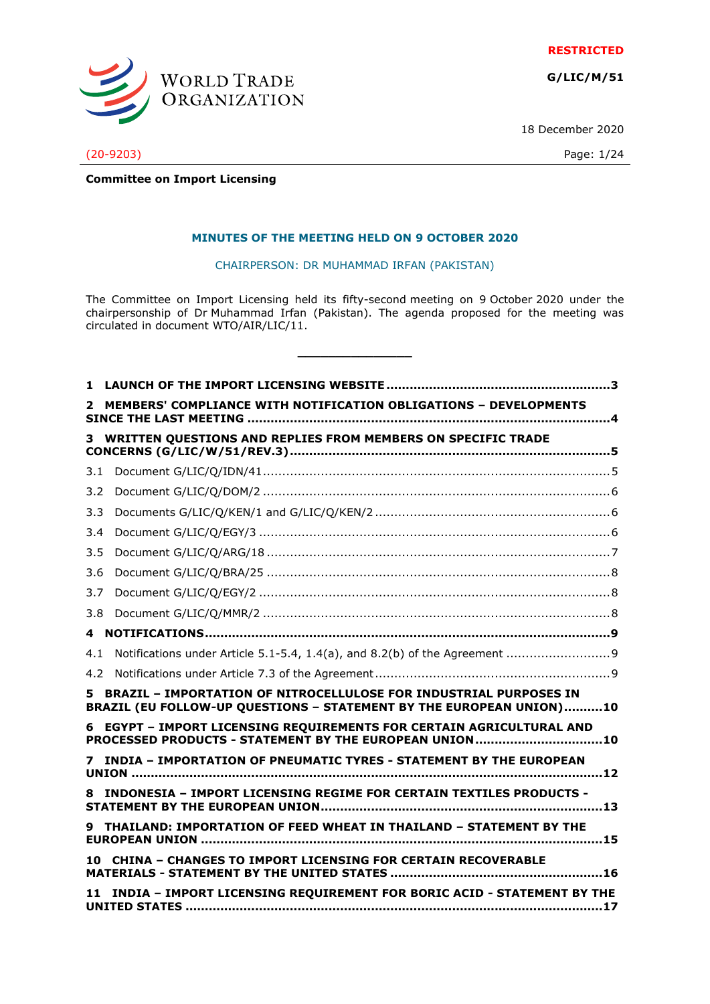**RESTRICTED**

**G/LIC/M/51**



18 December 2020

# (20-9203) Page: 1/24

**Committee on Import Licensing**

#### **MINUTES OF THE MEETING HELD ON 9 OCTOBER 2020**

CHAIRPERSON: DR MUHAMMAD IRFAN (PAKISTAN)

The Committee on Import Licensing held its fifty-second meeting on 9 October 2020 under the chairpersonship of Dr Muhammad Irfan (Pakistan). The agenda proposed for the meeting was circulated in document WTO/AIR/LIC/11.

**\_\_\_\_\_\_\_\_\_\_\_\_\_\_\_**

| 1.                                                                                                                                         |                                                                            |  |  |
|--------------------------------------------------------------------------------------------------------------------------------------------|----------------------------------------------------------------------------|--|--|
| 2                                                                                                                                          | MEMBERS' COMPLIANCE WITH NOTIFICATION OBLIGATIONS - DEVELOPMENTS           |  |  |
| 3                                                                                                                                          | WRITTEN QUESTIONS AND REPLIES FROM MEMBERS ON SPECIFIC TRADE               |  |  |
|                                                                                                                                            |                                                                            |  |  |
| 3.1                                                                                                                                        |                                                                            |  |  |
| 3.2                                                                                                                                        |                                                                            |  |  |
| 3.3                                                                                                                                        |                                                                            |  |  |
| 3.4                                                                                                                                        |                                                                            |  |  |
| 3.5                                                                                                                                        |                                                                            |  |  |
| 3.6                                                                                                                                        |                                                                            |  |  |
| 3.7                                                                                                                                        |                                                                            |  |  |
| 3.8                                                                                                                                        |                                                                            |  |  |
| 4                                                                                                                                          |                                                                            |  |  |
| 4.1                                                                                                                                        |                                                                            |  |  |
| 4.2                                                                                                                                        |                                                                            |  |  |
| 5 BRAZIL - IMPORTATION OF NITROCELLULOSE FOR INDUSTRIAL PURPOSES IN<br>BRAZIL (EU FOLLOW-UP QUESTIONS - STATEMENT BY THE EUROPEAN UNION)10 |                                                                            |  |  |
| 6 EGYPT - IMPORT LICENSING REQUIREMENTS FOR CERTAIN AGRICULTURAL AND<br>PROCESSED PRODUCTS - STATEMENT BY THE EUROPEAN UNION10             |                                                                            |  |  |
|                                                                                                                                            | INDIA - IMPORTATION OF PNEUMATIC TYRES - STATEMENT BY THE EUROPEAN         |  |  |
| 8                                                                                                                                          | <b>INDONESIA - IMPORT LICENSING REGIME FOR CERTAIN TEXTILES PRODUCTS -</b> |  |  |
|                                                                                                                                            | 9 THAILAND: IMPORTATION OF FEED WHEAT IN THAILAND - STATEMENT BY THE       |  |  |
|                                                                                                                                            | <b>CHINA - CHANGES TO IMPORT LICENSING FOR CERTAIN RECOVERABLE</b>         |  |  |
| 11                                                                                                                                         | INDIA - IMPORT LICENSING REQUIREMENT FOR BORIC ACID - STATEMENT BY THE     |  |  |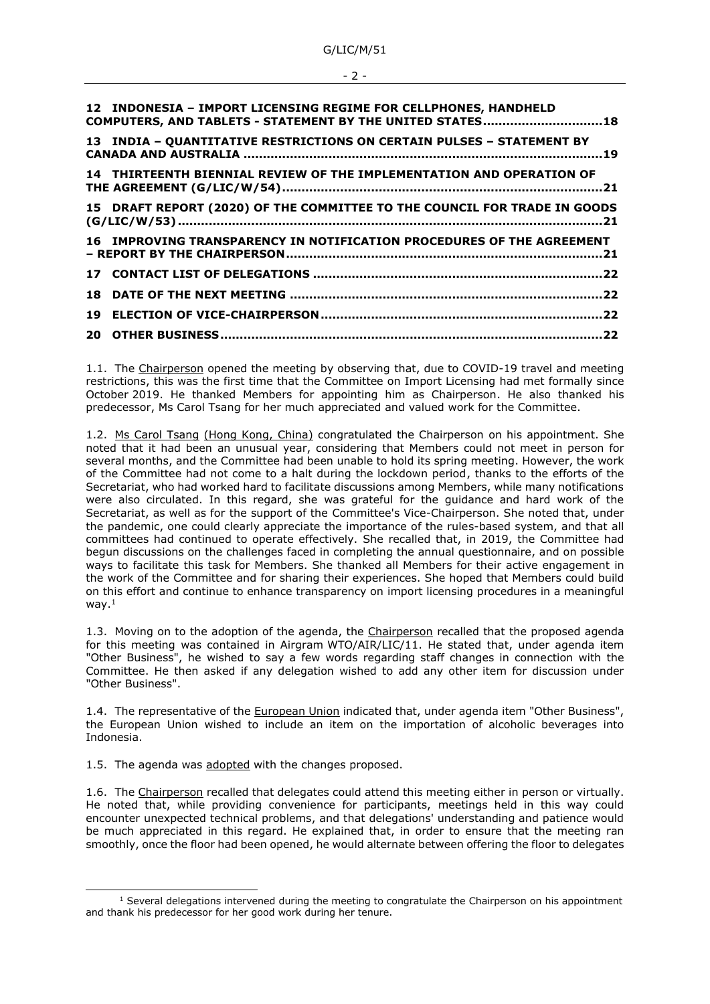| 12 INDONESIA - IMPORT LICENSING REGIME FOR CELLPHONES, HANDHELD<br>COMPUTERS, AND TABLETS - STATEMENT BY THE UNITED STATES18 |  |
|------------------------------------------------------------------------------------------------------------------------------|--|
| 13 INDIA - QUANTITATIVE RESTRICTIONS ON CERTAIN PULSES - STATEMENT BY                                                        |  |
| 14 THIRTEENTH BIENNIAL REVIEW OF THE IMPLEMENTATION AND OPERATION OF                                                         |  |
| 15 DRAFT REPORT (2020) OF THE COMMITTEE TO THE COUNCIL FOR TRADE IN GOODS                                                    |  |
| 16 IMPROVING TRANSPARENCY IN NOTIFICATION PROCEDURES OF THE AGREEMENT                                                        |  |
|                                                                                                                              |  |
|                                                                                                                              |  |
|                                                                                                                              |  |
|                                                                                                                              |  |

1.1. The Chairperson opened the meeting by observing that, due to COVID-19 travel and meeting restrictions, this was the first time that the Committee on Import Licensing had met formally since October 2019. He thanked Members for appointing him as Chairperson. He also thanked his predecessor, Ms Carol Tsang for her much appreciated and valued work for the Committee.

1.2. Ms Carol Tsang (Hong Kong, China) congratulated the Chairperson on his appointment. She noted that it had been an unusual year, considering that Members could not meet in person for several months, and the Committee had been unable to hold its spring meeting. However, the work of the Committee had not come to a halt during the lockdown period, thanks to the efforts of the Secretariat, who had worked hard to facilitate discussions among Members, while many notifications were also circulated. In this regard, she was grateful for the guidance and hard work of the Secretariat, as well as for the support of the Committee's Vice-Chairperson. She noted that, under the pandemic, one could clearly appreciate the importance of the rules-based system, and that all committees had continued to operate effectively. She recalled that, in 2019, the Committee had begun discussions on the challenges faced in completing the annual questionnaire, and on possible ways to facilitate this task for Members. She thanked all Members for their active engagement in the work of the Committee and for sharing their experiences. She hoped that Members could build on this effort and continue to enhance transparency on import licensing procedures in a meaningful way.<sup>1</sup>

1.3. Moving on to the adoption of the agenda, the Chairperson recalled that the proposed agenda for this meeting was contained in Airgram WTO/AIR/LIC/11. He stated that, under agenda item "Other Business", he wished to say a few words regarding staff changes in connection with the Committee. He then asked if any delegation wished to add any other item for discussion under "Other Business".

1.4. The representative of the European Union indicated that, under agenda item "Other Business", the European Union wished to include an item on the importation of alcoholic beverages into Indonesia.

1.5. The agenda was adopted with the changes proposed.

1.6. The Chairperson recalled that delegates could attend this meeting either in person or virtually. He noted that, while providing convenience for participants, meetings held in this way could encounter unexpected technical problems, and that delegations' understanding and patience would be much appreciated in this regard. He explained that, in order to ensure that the meeting ran smoothly, once the floor had been opened, he would alternate between offering the floor to delegates

#### - 2 -

 $1$  Several delegations intervened during the meeting to congratulate the Chairperson on his appointment and thank his predecessor for her good work during her tenure.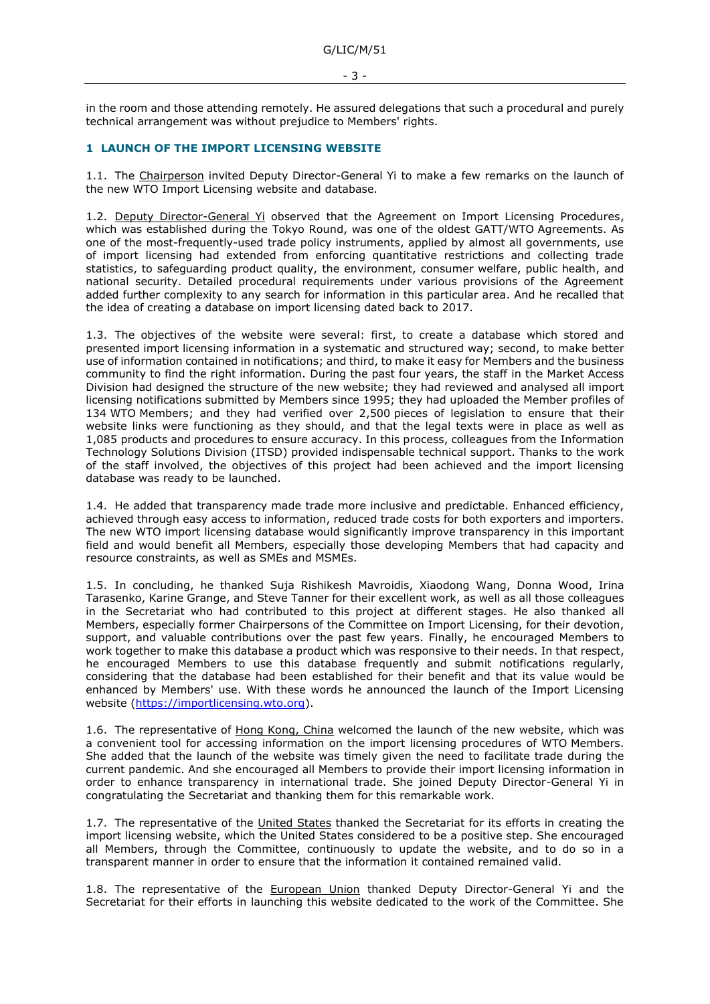in the room and those attending remotely. He assured delegations that such a procedural and purely technical arrangement was without prejudice to Members' rights.

## <span id="page-2-0"></span>**1 LAUNCH OF THE IMPORT LICENSING WEBSITE**

1.1. The Chairperson invited Deputy Director-General Yi to make a few remarks on the launch of the new WTO Import Licensing website and database.

1.2. Deputy Director-General Yi observed that the Agreement on Import Licensing Procedures, which was established during the Tokyo Round, was one of the oldest GATT/WTO Agreements. As one of the most-frequently-used trade policy instruments, applied by almost all governments, use of import licensing had extended from enforcing quantitative restrictions and collecting trade statistics, to safeguarding product quality, the environment, consumer welfare, public health, and national security. Detailed procedural requirements under various provisions of the Agreement added further complexity to any search for information in this particular area. And he recalled that the idea of creating a database on import licensing dated back to 2017.

1.3. The objectives of the website were several: first, to create a database which stored and presented import licensing information in a systematic and structured way; second, to make better use of information contained in notifications; and third, to make it easy for Members and the business community to find the right information. During the past four years, the staff in the Market Access Division had designed the structure of the new website; they had reviewed and analysed all import licensing notifications submitted by Members since 1995; they had uploaded the Member profiles of 134 WTO Members; and they had verified over 2,500 pieces of legislation to ensure that their website links were functioning as they should, and that the legal texts were in place as well as 1,085 products and procedures to ensure accuracy. In this process, colleagues from the Information Technology Solutions Division (ITSD) provided indispensable technical support. Thanks to the work of the staff involved, the objectives of this project had been achieved and the import licensing database was ready to be launched.

1.4. He added that transparency made trade more inclusive and predictable. Enhanced efficiency, achieved through easy access to information, reduced trade costs for both exporters and importers. The new WTO import licensing database would significantly improve transparency in this important field and would benefit all Members, especially those developing Members that had capacity and resource constraints, as well as SMEs and MSMEs.

1.5. In concluding, he thanked Suja Rishikesh Mavroidis, Xiaodong Wang, Donna Wood, Irina Tarasenko, Karine Grange, and Steve Tanner for their excellent work, as well as all those colleagues in the Secretariat who had contributed to this project at different stages. He also thanked all Members, especially former Chairpersons of the Committee on Import Licensing, for their devotion, support, and valuable contributions over the past few years. Finally, he encouraged Members to work together to make this database a product which was responsive to their needs. In that respect, he encouraged Members to use this database frequently and submit notifications regularly, considering that the database had been established for their benefit and that its value would be enhanced by Members' use. With these words he announced the launch of the Import Licensing website [\(https://importlicensing.wto.org\)](https://importlicensing.wto.org/).

1.6. The representative of Hong Kong, China welcomed the launch of the new website, which was a convenient tool for accessing information on the import licensing procedures of WTO Members. She added that the launch of the website was timely given the need to facilitate trade during the current pandemic. And she encouraged all Members to provide their import licensing information in order to enhance transparency in international trade. She joined Deputy Director-General Yi in congratulating the Secretariat and thanking them for this remarkable work.

1.7. The representative of the United States thanked the Secretariat for its efforts in creating the import licensing website, which the United States considered to be a positive step. She encouraged all Members, through the Committee, continuously to update the website, and to do so in a transparent manner in order to ensure that the information it contained remained valid.

1.8. The representative of the **European Union** thanked Deputy Director-General Yi and the Secretariat for their efforts in launching this website dedicated to the work of the Committee. She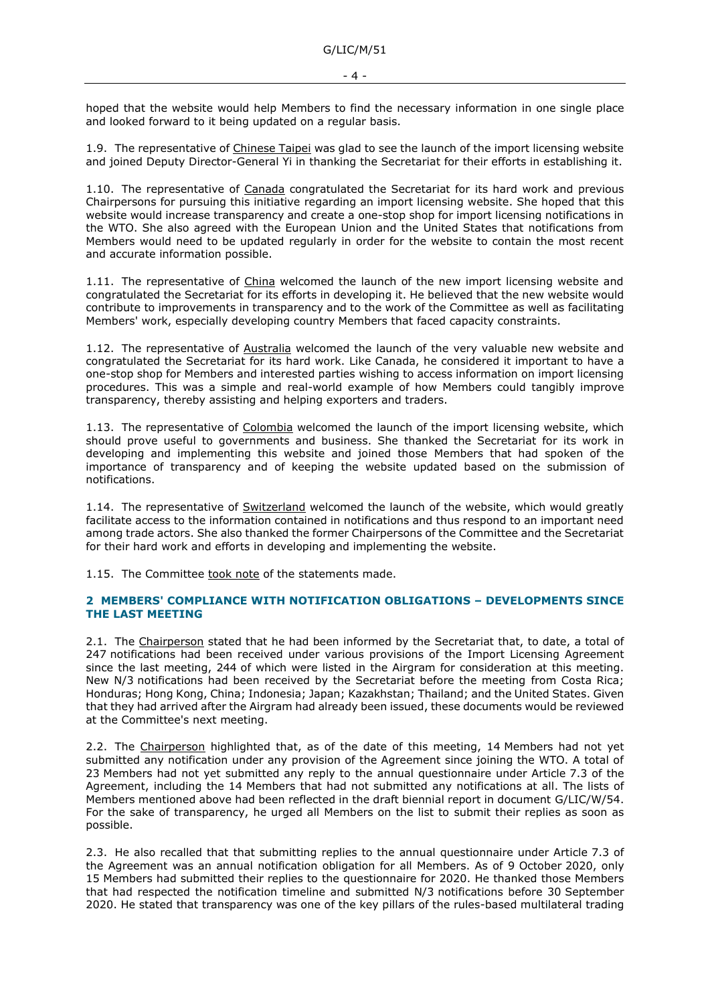hoped that the website would help Members to find the necessary information in one single place and looked forward to it being updated on a regular basis.

1.9. The representative of Chinese Taipei was glad to see the launch of the import licensing website and joined Deputy Director-General Yi in thanking the Secretariat for their efforts in establishing it.

1.10. The representative of Canada congratulated the Secretariat for its hard work and previous Chairpersons for pursuing this initiative regarding an import licensing website. She hoped that this website would increase transparency and create a one-stop shop for import licensing notifications in the WTO. She also agreed with the European Union and the United States that notifications from Members would need to be updated regularly in order for the website to contain the most recent and accurate information possible.

1.11. The representative of China welcomed the launch of the new import licensing website and congratulated the Secretariat for its efforts in developing it. He believed that the new website would contribute to improvements in transparency and to the work of the Committee as well as facilitating Members' work, especially developing country Members that faced capacity constraints.

1.12. The representative of Australia welcomed the launch of the very valuable new website and congratulated the Secretariat for its hard work. Like Canada, he considered it important to have a one-stop shop for Members and interested parties wishing to access information on import licensing procedures. This was a simple and real-world example of how Members could tangibly improve transparency, thereby assisting and helping exporters and traders.

1.13. The representative of Colombia welcomed the launch of the import licensing website, which should prove useful to governments and business. She thanked the Secretariat for its work in developing and implementing this website and joined those Members that had spoken of the importance of transparency and of keeping the website updated based on the submission of notifications.

1.14. The representative of Switzerland welcomed the launch of the website, which would greatly facilitate access to the information contained in notifications and thus respond to an important need among trade actors. She also thanked the former Chairpersons of the Committee and the Secretariat for their hard work and efforts in developing and implementing the website.

1.15. The Committee took note of the statements made.

#### <span id="page-3-0"></span>**2 MEMBERS' COMPLIANCE WITH NOTIFICATION OBLIGATIONS – DEVELOPMENTS SINCE THE LAST MEETING**

2.1. The Chairperson stated that he had been informed by the Secretariat that, to date, a total of 247 notifications had been received under various provisions of the Import Licensing Agreement since the last meeting, 244 of which were listed in the Airgram for consideration at this meeting. New N/3 notifications had been received by the Secretariat before the meeting from Costa Rica; Honduras; Hong Kong, China; Indonesia; Japan; Kazakhstan; Thailand; and the United States. Given that they had arrived after the Airgram had already been issued, these documents would be reviewed at the Committee's next meeting.

2.2. The Chairperson highlighted that, as of the date of this meeting, 14 Members had not yet submitted any notification under any provision of the Agreement since joining the WTO. A total of 23 Members had not yet submitted any reply to the annual questionnaire under Article 7.3 of the Agreement, including the 14 Members that had not submitted any notifications at all. The lists of Members mentioned above had been reflected in the draft biennial report in document G/LIC/W/54. For the sake of transparency, he urged all Members on the list to submit their replies as soon as possible.

2.3. He also recalled that that submitting replies to the annual questionnaire under Article 7.3 of the Agreement was an annual notification obligation for all Members. As of 9 October 2020, only 15 Members had submitted their replies to the questionnaire for 2020. He thanked those Members that had respected the notification timeline and submitted N/3 notifications before 30 September 2020. He stated that transparency was one of the key pillars of the rules-based multilateral trading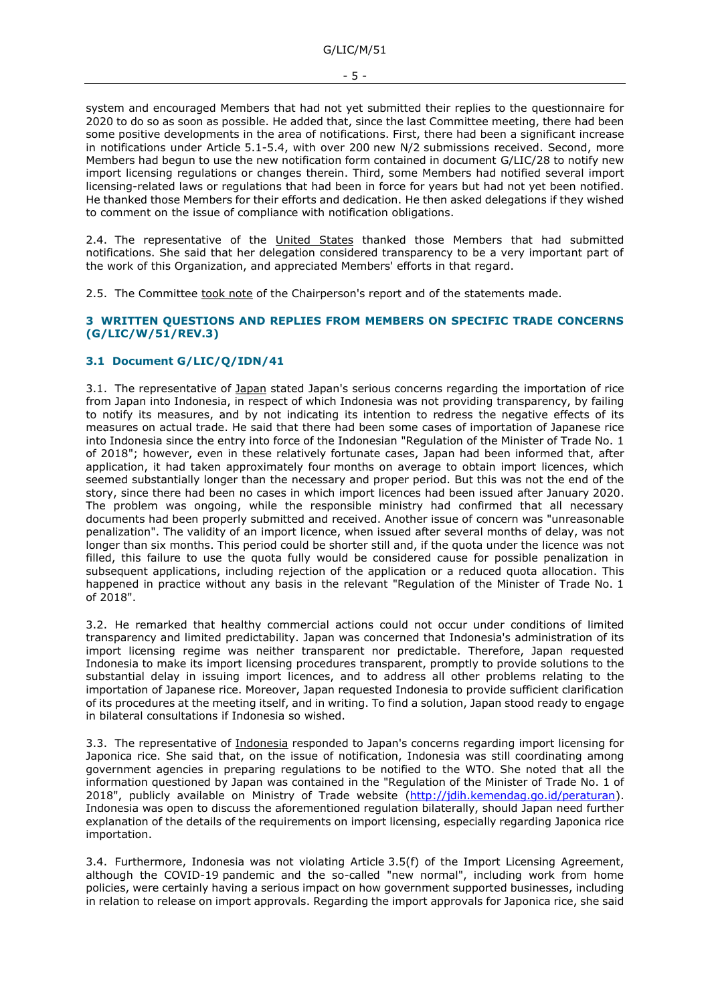system and encouraged Members that had not yet submitted their replies to the questionnaire for 2020 to do so as soon as possible. He added that, since the last Committee meeting, there had been some positive developments in the area of notifications. First, there had been a significant increase in notifications under Article 5.1-5.4, with over 200 new N/2 submissions received. Second, more Members had begun to use the new notification form contained in document G/LIC/28 to notify new import licensing regulations or changes therein. Third, some Members had notified several import licensing-related laws or regulations that had been in force for years but had not yet been notified. He thanked those Members for their efforts and dedication. He then asked delegations if they wished to comment on the issue of compliance with notification obligations.

2.4. The representative of the United States thanked those Members that had submitted notifications. She said that her delegation considered transparency to be a very important part of the work of this Organization, and appreciated Members' efforts in that regard.

2.5. The Committee took note of the Chairperson's report and of the statements made.

#### <span id="page-4-0"></span>**3 WRITTEN QUESTIONS AND REPLIES FROM MEMBERS ON SPECIFIC TRADE CONCERNS (G/LIC/W/51/REV.3)**

## <span id="page-4-1"></span>**3.1 Document G/LIC/Q/IDN/41**

3.1. The representative of Japan stated Japan's serious concerns regarding the importation of rice from Japan into Indonesia, in respect of which Indonesia was not providing transparency, by failing to notify its measures, and by not indicating its intention to redress the negative effects of its measures on actual trade. He said that there had been some cases of importation of Japanese rice into Indonesia since the entry into force of the Indonesian "Regulation of the Minister of Trade No. 1 of 2018"; however, even in these relatively fortunate cases, Japan had been informed that, after application, it had taken approximately four months on average to obtain import licences, which seemed substantially longer than the necessary and proper period. But this was not the end of the story, since there had been no cases in which import licences had been issued after January 2020. The problem was ongoing, while the responsible ministry had confirmed that all necessary documents had been properly submitted and received. Another issue of concern was "unreasonable penalization". The validity of an import licence, when issued after several months of delay, was not longer than six months. This period could be shorter still and, if the quota under the licence was not filled, this failure to use the quota fully would be considered cause for possible penalization in subsequent applications, including rejection of the application or a reduced quota allocation. This happened in practice without any basis in the relevant "Regulation of the Minister of Trade No. 1 of 2018".

3.2. He remarked that healthy commercial actions could not occur under conditions of limited transparency and limited predictability. Japan was concerned that Indonesia's administration of its import licensing regime was neither transparent nor predictable. Therefore, Japan requested Indonesia to make its import licensing procedures transparent, promptly to provide solutions to the substantial delay in issuing import licences, and to address all other problems relating to the importation of Japanese rice. Moreover, Japan requested Indonesia to provide sufficient clarification of its procedures at the meeting itself, and in writing. To find a solution, Japan stood ready to engage in bilateral consultations if Indonesia so wished.

3.3. The representative of Indonesia responded to Japan's concerns regarding import licensing for Japonica rice. She said that, on the issue of notification, Indonesia was still coordinating among government agencies in preparing regulations to be notified to the WTO. She noted that all the information questioned by Japan was contained in the "Regulation of the Minister of Trade No. 1 of 2018", publicly available on Ministry of Trade website [\(http://jdih.kemendag.go.id/peraturan\)](http://jdih.kemendag.go.id/peraturan). Indonesia was open to discuss the aforementioned regulation bilaterally, should Japan need further explanation of the details of the requirements on import licensing, especially regarding Japonica rice importation.

3.4. Furthermore, Indonesia was not violating Article 3.5(f) of the Import Licensing Agreement, although the COVID-19 pandemic and the so-called "new normal", including work from home policies, were certainly having a serious impact on how government supported businesses, including in relation to release on import approvals. Regarding the import approvals for Japonica rice, she said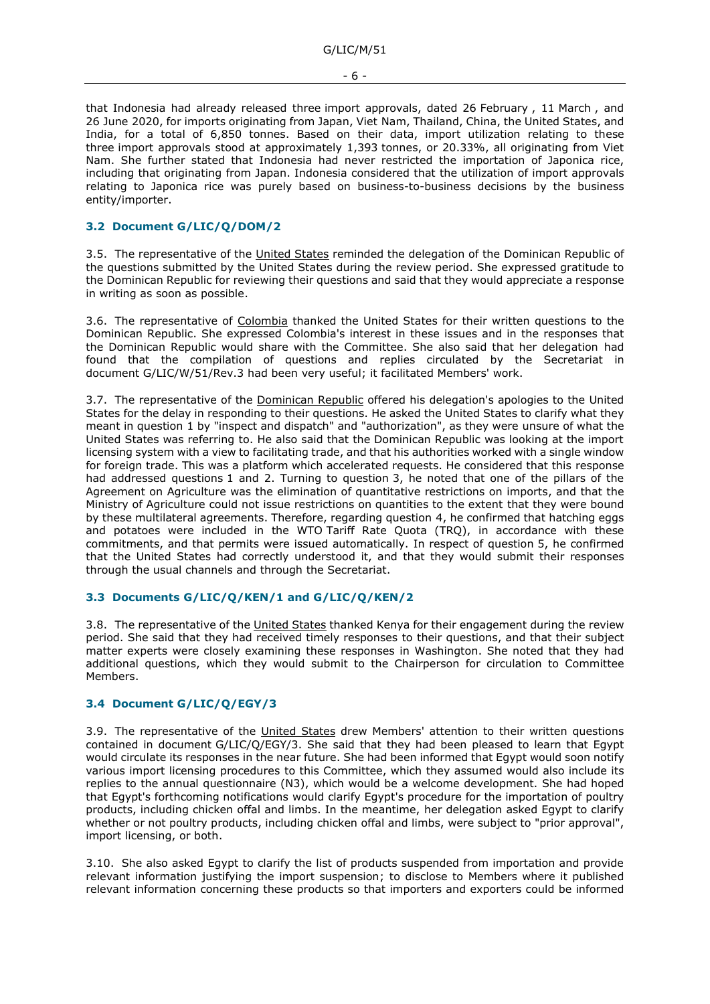that Indonesia had already released three import approvals, dated 26 February , 11 March , and 26 June 2020, for imports originating from Japan, Viet Nam, Thailand, China, the United States, and India, for a total of 6,850 tonnes. Based on their data, import utilization relating to these three import approvals stood at approximately 1,393 tonnes, or 20.33%, all originating from Viet Nam. She further stated that Indonesia had never restricted the importation of Japonica rice, including that originating from Japan. Indonesia considered that the utilization of import approvals relating to Japonica rice was purely based on business-to-business decisions by the business entity/importer.

## <span id="page-5-0"></span>**3.2 Document G/LIC/Q/DOM/2**

3.5. The representative of the United States reminded the delegation of the Dominican Republic of the questions submitted by the United States during the review period. She expressed gratitude to the Dominican Republic for reviewing their questions and said that they would appreciate a response in writing as soon as possible.

3.6. The representative of Colombia thanked the United States for their written questions to the Dominican Republic. She expressed Colombia's interest in these issues and in the responses that the Dominican Republic would share with the Committee. She also said that her delegation had found that the compilation of questions and replies circulated by the Secretariat in document G/LIC/W/51/Rev.3 had been very useful; it facilitated Members' work.

3.7. The representative of the Dominican Republic offered his delegation's apologies to the United States for the delay in responding to their questions. He asked the United States to clarify what they meant in question 1 by "inspect and dispatch" and "authorization", as they were unsure of what the United States was referring to. He also said that the Dominican Republic was looking at the import licensing system with a view to facilitating trade, and that his authorities worked with a single window for foreign trade. This was a platform which accelerated requests. He considered that this response had addressed questions 1 and 2. Turning to question 3, he noted that one of the pillars of the Agreement on Agriculture was the elimination of quantitative restrictions on imports, and that the Ministry of Agriculture could not issue restrictions on quantities to the extent that they were bound by these multilateral agreements. Therefore, regarding question 4, he confirmed that hatching eggs and potatoes were included in the WTO Tariff Rate Quota (TRQ), in accordance with these commitments, and that permits were issued automatically. In respect of question 5, he confirmed that the United States had correctly understood it, and that they would submit their responses through the usual channels and through the Secretariat.

#### <span id="page-5-1"></span>**3.3 Documents G/LIC/Q/KEN/1 and G/LIC/Q/KEN/2**

3.8. The representative of the United States thanked Kenya for their engagement during the review period. She said that they had received timely responses to their questions, and that their subject matter experts were closely examining these responses in Washington. She noted that they had additional questions, which they would submit to the Chairperson for circulation to Committee Members.

## <span id="page-5-2"></span>**3.4 Document G/LIC/Q/EGY/3**

3.9. The representative of the United States drew Members' attention to their written questions contained in document G/LIC/Q/EGY/3. She said that they had been pleased to learn that Egypt would circulate its responses in the near future. She had been informed that Egypt would soon notify various import licensing procedures to this Committee, which they assumed would also include its replies to the annual questionnaire (N3), which would be a welcome development. She had hoped that Egypt's forthcoming notifications would clarify Egypt's procedure for the importation of poultry products, including chicken offal and limbs. In the meantime, her delegation asked Egypt to clarify whether or not poultry products, including chicken offal and limbs, were subject to "prior approval", import licensing, or both.

3.10. She also asked Egypt to clarify the list of products suspended from importation and provide relevant information justifying the import suspension; to disclose to Members where it published relevant information concerning these products so that importers and exporters could be informed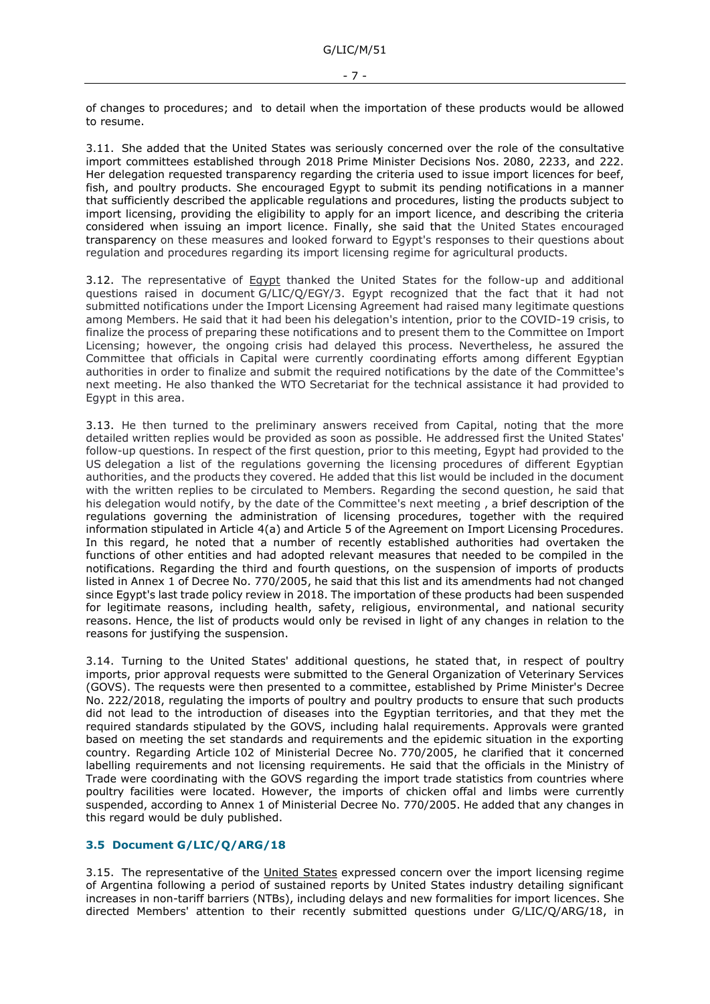of changes to procedures; and to detail when the importation of these products would be allowed to resume.

3.11. She added that the United States was seriously concerned over the role of the consultative import committees established through 2018 Prime Minister Decisions Nos. 2080, 2233, and 222. Her delegation requested transparency regarding the criteria used to issue import licences for beef, fish, and poultry products. She encouraged Egypt to submit its pending notifications in a manner that sufficiently described the applicable regulations and procedures, listing the products subject to import licensing, providing the eligibility to apply for an import licence, and describing the criteria considered when issuing an import licence. Finally, she said that the United States encouraged transparency on these measures and looked forward to Egypt's responses to their questions about regulation and procedures regarding its import licensing regime for agricultural products.

3.12. The representative of Eqypt thanked the United States for the follow-up and additional questions raised in document G/LIC/Q/EGY/3. Egypt recognized that the fact that it had not submitted notifications under the Import Licensing Agreement had raised many legitimate questions among Members. He said that it had been his delegation's intention, prior to the COVID-19 crisis, to finalize the process of preparing these notifications and to present them to the Committee on Import Licensing; however, the ongoing crisis had delayed this process. Nevertheless, he assured the Committee that officials in Capital were currently coordinating efforts among different Egyptian authorities in order to finalize and submit the required notifications by the date of the Committee's next meeting. He also thanked the WTO Secretariat for the technical assistance it had provided to Egypt in this area.

3.13. He then turned to the preliminary answers received from Capital, noting that the more detailed written replies would be provided as soon as possible. He addressed first the United States' follow-up questions. In respect of the first question, prior to this meeting, Egypt had provided to the US delegation a list of the regulations governing the licensing procedures of different Egyptian authorities, and the products they covered. He added that this list would be included in the document with the written replies to be circulated to Members. Regarding the second question, he said that his delegation would notify, by the date of the Committee's next meeting , a brief description of the regulations governing the administration of licensing procedures, together with the required information stipulated in Article 4(a) and Article 5 of the Agreement on Import Licensing Procedures. In this regard, he noted that a number of recently established authorities had overtaken the functions of other entities and had adopted relevant measures that needed to be compiled in the notifications. Regarding the third and fourth questions, on the suspension of imports of products listed in Annex 1 of Decree No. 770/2005, he said that this list and its amendments had not changed since Egypt's last trade policy review in 2018. The importation of these products had been suspended for legitimate reasons, including health, safety, religious, environmental, and national security reasons. Hence, the list of products would only be revised in light of any changes in relation to the reasons for justifying the suspension.

3.14. Turning to the United States' additional questions, he stated that, in respect of poultry imports, prior approval requests were submitted to the General Organization of Veterinary Services (GOVS). The requests were then presented to a committee, established by Prime Minister's Decree No. 222/2018, regulating the imports of poultry and poultry products to ensure that such products did not lead to the introduction of diseases into the Egyptian territories, and that they met the required standards stipulated by the GOVS, including halal requirements. Approvals were granted based on meeting the set standards and requirements and the epidemic situation in the exporting country. Regarding Article 102 of Ministerial Decree No. 770/2005, he clarified that it concerned labelling requirements and not licensing requirements. He said that the officials in the Ministry of Trade were coordinating with the GOVS regarding the import trade statistics from countries where poultry facilities were located. However, the imports of chicken offal and limbs were currently suspended, according to Annex 1 of Ministerial Decree No. 770/2005. He added that any changes in this regard would be duly published.

### <span id="page-6-0"></span>**3.5 Document G/LIC/Q/ARG/18**

3.15. The representative of the United States expressed concern over the import licensing regime of Argentina following a period of sustained reports by United States industry detailing significant increases in non-tariff barriers (NTBs), including delays and new formalities for import licences. She directed Members' attention to their recently submitted questions under G/LIC/Q/ARG/18, in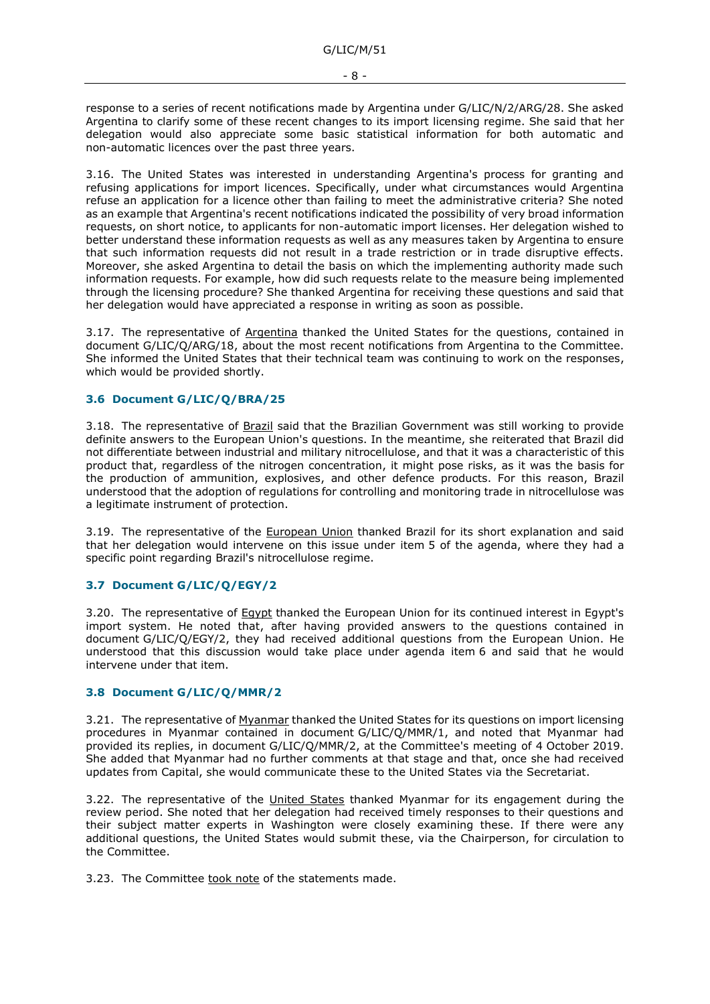response to a series of recent notifications made by Argentina under G/LIC/N/2/ARG/28. She asked Argentina to clarify some of these recent changes to its import licensing regime. She said that her delegation would also appreciate some basic statistical information for both automatic and non-automatic licences over the past three years.

3.16. The United States was interested in understanding Argentina's process for granting and refusing applications for import licences. Specifically, under what circumstances would Argentina refuse an application for a licence other than failing to meet the administrative criteria? She noted as an example that Argentina's recent notifications indicated the possibility of very broad information requests, on short notice, to applicants for non-automatic import licenses. Her delegation wished to better understand these information requests as well as any measures taken by Argentina to ensure that such information requests did not result in a trade restriction or in trade disruptive effects. Moreover, she asked Argentina to detail the basis on which the implementing authority made such information requests. For example, how did such requests relate to the measure being implemented through the licensing procedure? She thanked Argentina for receiving these questions and said that her delegation would have appreciated a response in writing as soon as possible.

3.17. The representative of Argentina thanked the United States for the questions, contained in document G/LIC/Q/ARG/18, about the most recent notifications from Argentina to the Committee. She informed the United States that their technical team was continuing to work on the responses, which would be provided shortly.

#### <span id="page-7-0"></span>**3.6 Document G/LIC/Q/BRA/25**

3.18. The representative of Brazil said that the Brazilian Government was still working to provide definite answers to the European Union's questions. In the meantime, she reiterated that Brazil did not differentiate between industrial and military nitrocellulose, and that it was a characteristic of this product that, regardless of the nitrogen concentration, it might pose risks, as it was the basis for the production of ammunition, explosives, and other defence products. For this reason, Brazil understood that the adoption of regulations for controlling and monitoring trade in nitrocellulose was a legitimate instrument of protection.

3.19. The representative of the European Union thanked Brazil for its short explanation and said that her delegation would intervene on this issue under item 5 of the agenda, where they had a specific point regarding Brazil's nitrocellulose regime.

## <span id="page-7-1"></span>**3.7 Document G/LIC/Q/EGY/2**

3.20. The representative of **Egypt** thanked the European Union for its continued interest in Egypt's import system. He noted that, after having provided answers to the questions contained in document G/LIC/Q/EGY/2, they had received additional questions from the European Union. He understood that this discussion would take place under agenda item 6 and said that he would intervene under that item.

#### <span id="page-7-2"></span>**3.8 Document G/LIC/Q/MMR/2**

3.21. The representative of Myanmar thanked the United States for its questions on import licensing procedures in Myanmar contained in document G/LIC/Q/MMR/1, and noted that Myanmar had provided its replies, in document G/LIC/Q/MMR/2, at the Committee's meeting of 4 October 2019. She added that Myanmar had no further comments at that stage and that, once she had received updates from Capital, she would communicate these to the United States via the Secretariat.

3.22. The representative of the United States thanked Myanmar for its engagement during the review period. She noted that her delegation had received timely responses to their questions and their subject matter experts in Washington were closely examining these. If there were any additional questions, the United States would submit these, via the Chairperson, for circulation to the Committee.

3.23. The Committee took note of the statements made.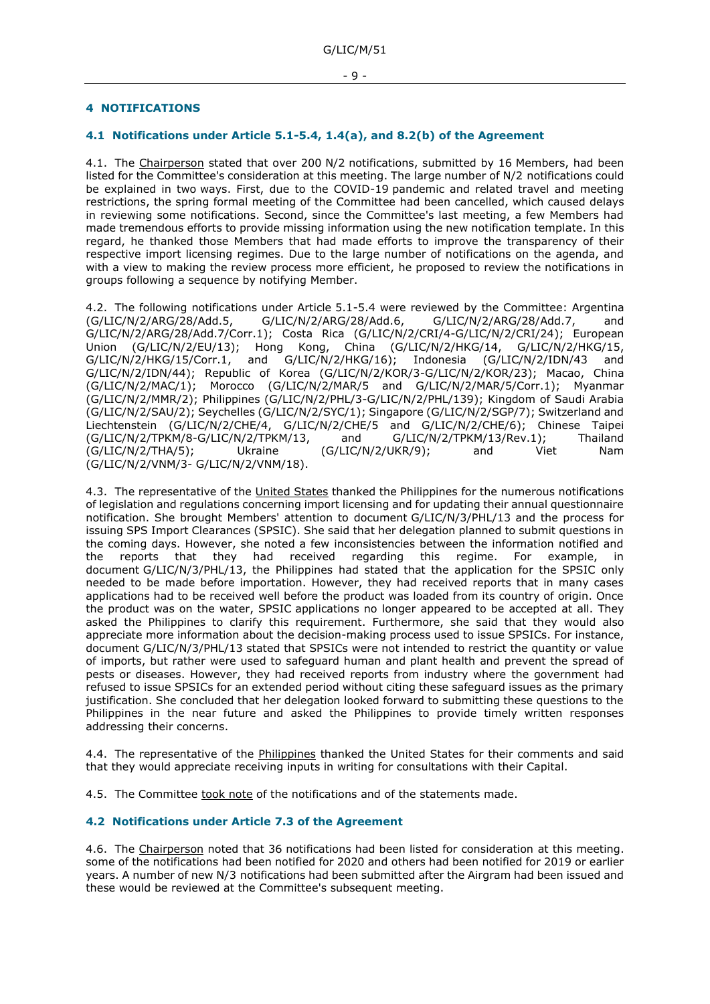## <span id="page-8-0"></span>**4 NOTIFICATIONS**

### <span id="page-8-1"></span>**4.1 Notifications under Article 5.1-5.4, 1.4(a), and 8.2(b) of the Agreement**

4.1. The Chairperson stated that over 200 N/2 notifications, submitted by 16 Members, had been listed for the Committee's consideration at this meeting. The large number of N/2 notifications could be explained in two ways. First, due to the COVID-19 pandemic and related travel and meeting restrictions, the spring formal meeting of the Committee had been cancelled, which caused delays in reviewing some notifications. Second, since the Committee's last meeting, a few Members had made tremendous efforts to provide missing information using the new notification template. In this regard, he thanked those Members that had made efforts to improve the transparency of their respective import licensing regimes. Due to the large number of notifications on the agenda, and with a view to making the review process more efficient, he proposed to review the notifications in groups following a sequence by notifying Member.

4.2. The following notifications under Article 5.1-5.4 were reviewed by the Committee: Argentina (G/LIC/N/2/ARG/28/Add.5, G/LIC/N/2/ARG/28/Add.6, G/LIC/N/2/ARG/28/Add.7, and G/LIC/N/2/ARG/28/Add.7/Corr.1); Costa Rica (G/LIC/N/2/CRI/4-G/LIC/N/2/CRI/24); European Union (G/LIC/N/2/EU/13); Hong Kong, China (G/LIC/N/2/HKG/14, G/LIC/N/2/HKG/15, G/LIC/N/2/HKG/15/Corr.1, and G/LIC/N/2/HKG/16); Indonesia (G/LIC/N/2/IDN/43 and G/LIC/N/2/IDN/44); Republic of Korea (G/LIC/N/2/KOR/3-G/LIC/N/2/KOR/23); Macao, China (G/LIC/N/2/MAC/1); Morocco (G/LIC/N/2/MAR/5 and G/LIC/N/2/MAR/5/Corr.1); Myanmar (G/LIC/N/2/MMR/2); Philippines (G/LIC/N/2/PHL/3-G/LIC/N/2/PHL/139); Kingdom of Saudi Arabia (G/LIC/N/2/SAU/2); Seychelles (G/LIC/N/2/SYC/1); Singapore (G/LIC/N/2/SGP/7); Switzerland and Liechtenstein (G/LIC/N/2/CHE/4, G/LIC/N/2/CHE/5 and G/LIC/N/2/CHE/6); Chinese Taipei (G/LIC/N/2/TPKM/8-G/LIC/N/2/TPKM/13, and G/LIC/N/2/TPKM/13/Rev.1); Thailand (G/LIC/N/2/THA/5); Ukraine (G/LIC/N/2/UKR/9); and Viet Nam (G/LIC/N/2/VNM/3- G/LIC/N/2/VNM/18).

4.3. The representative of the United States thanked the Philippines for the numerous notifications of legislation and regulations concerning import licensing and for updating their annual questionnaire notification. She brought Members' attention to document G/LIC/N/3/PHL/13 and the process for issuing SPS Import Clearances (SPSIC). She said that her delegation planned to submit questions in the coming days. However, she noted a few inconsistencies between the information notified and the reports that they had received regarding this regime. For example, in the reports that they had received regarding this regime. For example, in document G/LIC/N/3/PHL/13, the Philippines had stated that the application for the SPSIC only needed to be made before importation. However, they had received reports that in many cases applications had to be received well before the product was loaded from its country of origin. Once the product was on the water, SPSIC applications no longer appeared to be accepted at all. They asked the Philippines to clarify this requirement. Furthermore, she said that they would also appreciate more information about the decision-making process used to issue SPSICs. For instance, document G/LIC/N/3/PHL/13 stated that SPSICs were not intended to restrict the quantity or value of imports, but rather were used to safeguard human and plant health and prevent the spread of pests or diseases. However, they had received reports from industry where the government had refused to issue SPSICs for an extended period without citing these safeguard issues as the primary justification. She concluded that her delegation looked forward to submitting these questions to the Philippines in the near future and asked the Philippines to provide timely written responses addressing their concerns.

4.4. The representative of the Philippines thanked the United States for their comments and said that they would appreciate receiving inputs in writing for consultations with their Capital.

4.5. The Committee took note of the notifications and of the statements made.

#### <span id="page-8-2"></span>**4.2 Notifications under Article 7.3 of the Agreement**

4.6. The Chairperson noted that 36 notifications had been listed for consideration at this meeting. some of the notifications had been notified for 2020 and others had been notified for 2019 or earlier years. A number of new N/3 notifications had been submitted after the Airgram had been issued and these would be reviewed at the Committee's subsequent meeting.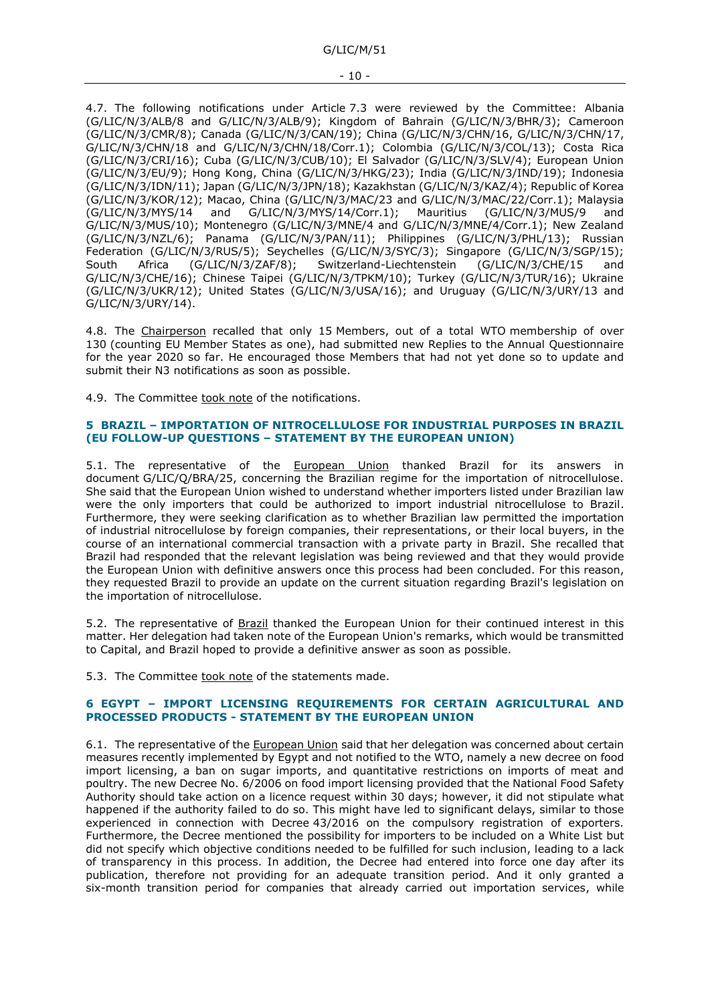4.7. The following notifications under Article 7.3 were reviewed by the Committee: Albania (G/LIC/N/3/ALB/8 and G/LIC/N/3/ALB/9); Kingdom of Bahrain (G/LIC/N/3/BHR/3); Cameroon (G/LIC/N/3/CMR/8); Canada (G/LIC/N/3/CAN/19); China (G/LIC/N/3/CHN/16, G/LIC/N/3/CHN/17, G/LIC/N/3/CHN/18 and G/LIC/N/3/CHN/18/Corr.1); Colombia (G/LIC/N/3/COL/13); Costa Rica (G/LIC/N/3/CRI/16); Cuba (G/LIC/N/3/CUB/10); El Salvador (G/LIC/N/3/SLV/4); European Union (G/LIC/N/3/EU/9); Hong Kong, China (G/LIC/N/3/HKG/23); India (G/LIC/N/3/IND/19); Indonesia (G/LIC/N/3/IDN/11); Japan (G/LIC/N/3/JPN/18); Kazakhstan (G/LIC/N/3/KAZ/4); Republic of Korea (G/LIC/N/3/KOR/12); Macao, China (G/LIC/N/3/MAC/23 and G/LIC/N/3/MAC/22/Corr.1); Malaysia (G/LIC/N/3/MYS/14 and G/LIC/N/3/MYS/14/Corr.1); Mauritius (G/LIC/N/3/MUS/9 and G/LIC/N/3/MUS/10); Montenegro (G/LIC/N/3/MNE/4 and G/LIC/N/3/MNE/4/Corr.1); New Zealand (G/LIC/N/3/NZL/6); Panama (G/LIC/N/3/PAN/11); Philippines (G/LIC/N/3/PHL/13); Russian Federation (G/LIC/N/3/RUS/5); Seychelles (G/LIC/N/3/SYC/3); Singapore (G/LIC/N/3/SGP/15); South Africa (G/LIC/N/3/ZAF/8); Switzerland-Liechtenstein (G/LIC/N/3/CHE/15 and G/LIC/N/3/CHE/16); Chinese Taipei (G/LIC/N/3/TPKM/10); Turkey (G/LIC/N/3/TUR/16); Ukraine (G/LIC/N/3/UKR/12); United States (G/LIC/N/3/USA/16); and Uruguay (G/LIC/N/3/URY/13 and G/LIC/N/3/URY/14).

4.8. The Chairperson recalled that only 15 Members, out of a total WTO membership of over 130 (counting EU Member States as one), had submitted new Replies to the Annual Questionnaire for the year 2020 so far. He encouraged those Members that had not yet done so to update and submit their N3 notifications as soon as possible.

4.9. The Committee took note of the notifications.

#### <span id="page-9-0"></span>**5 BRAZIL – IMPORTATION OF NITROCELLULOSE FOR INDUSTRIAL PURPOSES IN BRAZIL (EU FOLLOW-UP QUESTIONS – STATEMENT BY THE EUROPEAN UNION)**

5.1. The representative of the European Union thanked Brazil for its answers in document G/LIC/Q/BRA/25, concerning the Brazilian regime for the importation of nitrocellulose. She said that the European Union wished to understand whether importers listed under Brazilian law were the only importers that could be authorized to import industrial nitrocellulose to Brazil. Furthermore, they were seeking clarification as to whether Brazilian law permitted the importation of industrial nitrocellulose by foreign companies, their representations, or their local buyers, in the course of an international commercial transaction with a private party in Brazil. She recalled that Brazil had responded that the relevant legislation was being reviewed and that they would provide the European Union with definitive answers once this process had been concluded. For this reason, they requested Brazil to provide an update on the current situation regarding Brazil's legislation on the importation of nitrocellulose.

5.2. The representative of Brazil thanked the European Union for their continued interest in this matter. Her delegation had taken note of the European Union's remarks, which would be transmitted to Capital, and Brazil hoped to provide a definitive answer as soon as possible.

5.3. The Committee took note of the statements made.

#### <span id="page-9-1"></span>**6 EGYPT – IMPORT LICENSING REQUIREMENTS FOR CERTAIN AGRICULTURAL AND PROCESSED PRODUCTS - STATEMENT BY THE EUROPEAN UNION**

6.1. The representative of the European Union said that her delegation was concerned about certain measures recently implemented by Egypt and not notified to the WTO, namely a new decree on food import licensing, a ban on sugar imports, and quantitative restrictions on imports of meat and poultry. The new Decree No. 6/2006 on food import licensing provided that the National Food Safety Authority should take action on a licence request within 30 days; however, it did not stipulate what happened if the authority failed to do so. This might have led to significant delays, similar to those experienced in connection with Decree 43/2016 on the compulsory registration of exporters. Furthermore, the Decree mentioned the possibility for importers to be included on a White List but did not specify which objective conditions needed to be fulfilled for such inclusion, leading to a lack of transparency in this process. In addition, the Decree had entered into force one day after its publication, therefore not providing for an adequate transition period. And it only granted a six-month transition period for companies that already carried out importation services, while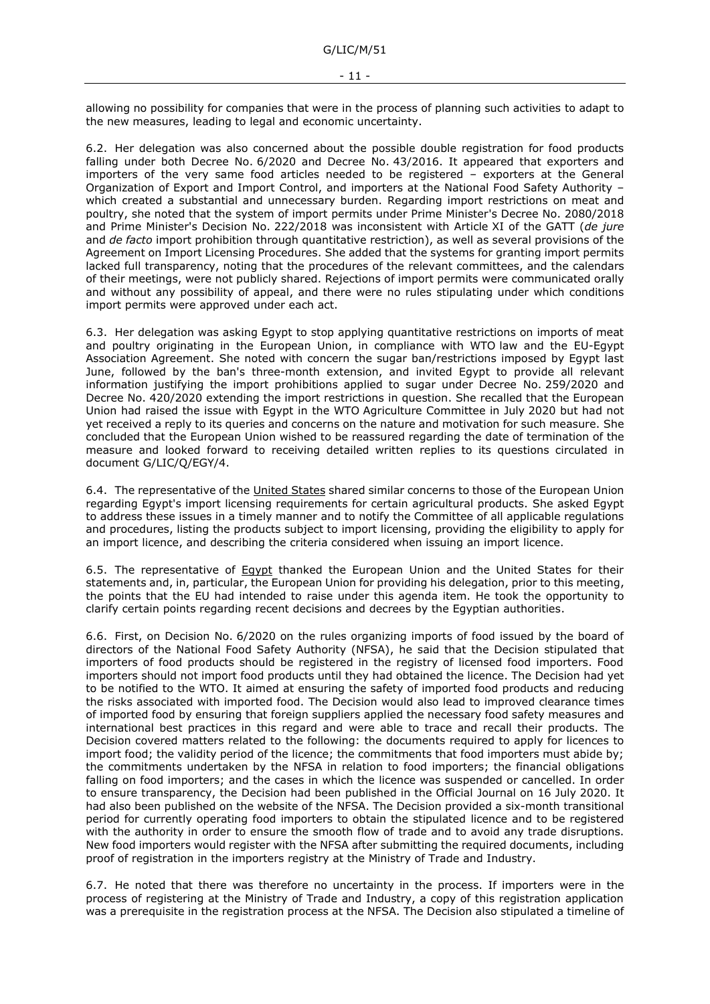allowing no possibility for companies that were in the process of planning such activities to adapt to the new measures, leading to legal and economic uncertainty.

6.2. Her delegation was also concerned about the possible double registration for food products falling under both Decree No. 6/2020 and Decree No. 43/2016. It appeared that exporters and importers of the very same food articles needed to be registered – exporters at the General Organization of Export and Import Control, and importers at the National Food Safety Authority – which created a substantial and unnecessary burden. Regarding import restrictions on meat and poultry, she noted that the system of import permits under Prime Minister's Decree No. 2080/2018 and Prime Minister's Decision No. 222/2018 was inconsistent with Article XI of the GATT (*de jure* and *de facto* import prohibition through quantitative restriction), as well as several provisions of the Agreement on Import Licensing Procedures. She added that the systems for granting import permits lacked full transparency, noting that the procedures of the relevant committees, and the calendars of their meetings, were not publicly shared. Rejections of import permits were communicated orally and without any possibility of appeal, and there were no rules stipulating under which conditions import permits were approved under each act.

6.3. Her delegation was asking Egypt to stop applying quantitative restrictions on imports of meat and poultry originating in the European Union, in compliance with WTO law and the EU-Egypt Association Agreement. She noted with concern the sugar ban/restrictions imposed by Egypt last June, followed by the ban's three-month extension, and invited Egypt to provide all relevant information justifying the import prohibitions applied to sugar under Decree No. 259/2020 and Decree No. 420/2020 extending the import restrictions in question. She recalled that the European Union had raised the issue with Egypt in the WTO Agriculture Committee in July 2020 but had not yet received a reply to its queries and concerns on the nature and motivation for such measure. She concluded that the European Union wished to be reassured regarding the date of termination of the measure and looked forward to receiving detailed written replies to its questions circulated in document G/LIC/Q/EGY/4.

6.4. The representative of the United States shared similar concerns to those of the European Union regarding Egypt's import licensing requirements for certain agricultural products. She asked Egypt to address these issues in a timely manner and to notify the Committee of all applicable regulations and procedures, listing the products subject to import licensing, providing the eligibility to apply for an import licence, and describing the criteria considered when issuing an import licence.

6.5. The representative of Egypt thanked the European Union and the United States for their statements and, in, particular, the European Union for providing his delegation, prior to this meeting, the points that the EU had intended to raise under this agenda item. He took the opportunity to clarify certain points regarding recent decisions and decrees by the Egyptian authorities.

6.6. First, on Decision No. 6/2020 on the rules organizing imports of food issued by the board of directors of the National Food Safety Authority (NFSA), he said that the Decision stipulated that importers of food products should be registered in the registry of licensed food importers. Food importers should not import food products until they had obtained the licence. The Decision had yet to be notified to the WTO. It aimed at ensuring the safety of imported food products and reducing the risks associated with imported food. The Decision would also lead to improved clearance times of imported food by ensuring that foreign suppliers applied the necessary food safety measures and international best practices in this regard and were able to trace and recall their products. The Decision covered matters related to the following: the documents required to apply for licences to import food; the validity period of the licence; the commitments that food importers must abide by; the commitments undertaken by the NFSA in relation to food importers; the financial obligations falling on food importers; and the cases in which the licence was suspended or cancelled. In order to ensure transparency, the Decision had been published in the Official Journal on 16 July 2020. It had also been published on the website of the NFSA. The Decision provided a six-month transitional period for currently operating food importers to obtain the stipulated licence and to be registered with the authority in order to ensure the smooth flow of trade and to avoid any trade disruptions. New food importers would register with the NFSA after submitting the required documents, including proof of registration in the importers registry at the Ministry of Trade and Industry.

6.7. He noted that there was therefore no uncertainty in the process. If importers were in the process of registering at the Ministry of Trade and Industry, a copy of this registration application was a prerequisite in the registration process at the NFSA. The Decision also stipulated a timeline of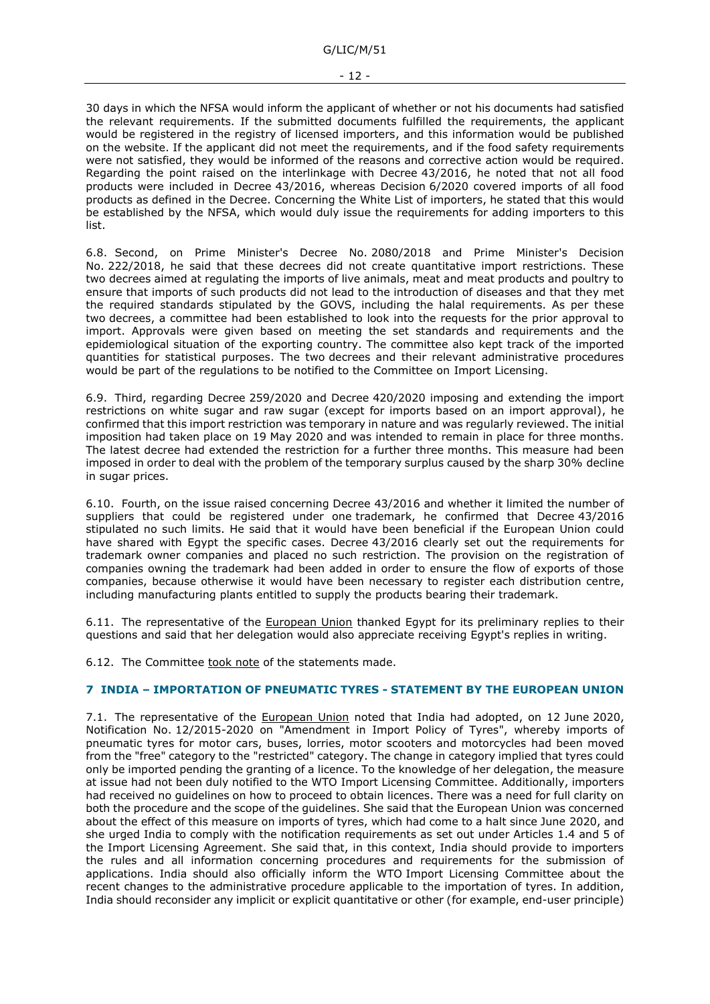G/LIC/M/51

30 days in which the NFSA would inform the applicant of whether or not his documents had satisfied the relevant requirements. If the submitted documents fulfilled the requirements, the applicant would be registered in the registry of licensed importers, and this information would be published on the website. If the applicant did not meet the requirements, and if the food safety requirements were not satisfied, they would be informed of the reasons and corrective action would be required. Regarding the point raised on the interlinkage with Decree 43/2016, he noted that not all food products were included in Decree 43/2016, whereas Decision 6/2020 covered imports of all food products as defined in the Decree. Concerning the White List of importers, he stated that this would be established by the NFSA, which would duly issue the requirements for adding importers to this list.

6.8. Second, on Prime Minister's Decree No. 2080/2018 and Prime Minister's Decision No. 222/2018, he said that these decrees did not create quantitative import restrictions. These two decrees aimed at regulating the imports of live animals, meat and meat products and poultry to ensure that imports of such products did not lead to the introduction of diseases and that they met the required standards stipulated by the GOVS, including the halal requirements. As per these two decrees, a committee had been established to look into the requests for the prior approval to import. Approvals were given based on meeting the set standards and requirements and the epidemiological situation of the exporting country. The committee also kept track of the imported quantities for statistical purposes. The two decrees and their relevant administrative procedures would be part of the regulations to be notified to the Committee on Import Licensing.

6.9. Third, regarding Decree 259/2020 and Decree 420/2020 imposing and extending the import restrictions on white sugar and raw sugar (except for imports based on an import approval), he confirmed that this import restriction was temporary in nature and was regularly reviewed. The initial imposition had taken place on 19 May 2020 and was intended to remain in place for three months. The latest decree had extended the restriction for a further three months. This measure had been imposed in order to deal with the problem of the temporary surplus caused by the sharp 30% decline in sugar prices.

6.10. Fourth, on the issue raised concerning Decree 43/2016 and whether it limited the number of suppliers that could be registered under one trademark, he confirmed that Decree 43/2016 stipulated no such limits. He said that it would have been beneficial if the European Union could have shared with Egypt the specific cases. Decree 43/2016 clearly set out the requirements for trademark owner companies and placed no such restriction. The provision on the registration of companies owning the trademark had been added in order to ensure the flow of exports of those companies, because otherwise it would have been necessary to register each distribution centre, including manufacturing plants entitled to supply the products bearing their trademark.

6.11. The representative of the European Union thanked Egypt for its preliminary replies to their questions and said that her delegation would also appreciate receiving Egypt's replies in writing.

6.12. The Committee took note of the statements made.

### <span id="page-11-0"></span>**7 INDIA – IMPORTATION OF PNEUMATIC TYRES - STATEMENT BY THE EUROPEAN UNION**

7.1. The representative of the European Union noted that India had adopted, on 12 June 2020, Notification No. 12/2015-2020 on "Amendment in Import Policy of Tyres", whereby imports of pneumatic tyres for motor cars, buses, lorries, motor scooters and motorcycles had been moved from the "free" category to the "restricted" category. The change in category implied that tyres could only be imported pending the granting of a licence. To the knowledge of her delegation, the measure at issue had not been duly notified to the WTO Import Licensing Committee. Additionally, importers had received no guidelines on how to proceed to obtain licences. There was a need for full clarity on both the procedure and the scope of the guidelines. She said that the European Union was concerned about the effect of this measure on imports of tyres, which had come to a halt since June 2020, and she urged India to comply with the notification requirements as set out under Articles 1.4 and 5 of the Import Licensing Agreement. She said that, in this context, India should provide to importers the rules and all information concerning procedures and requirements for the submission of applications. India should also officially inform the WTO Import Licensing Committee about the recent changes to the administrative procedure applicable to the importation of tyres. In addition, India should reconsider any implicit or explicit quantitative or other (for example, end-user principle)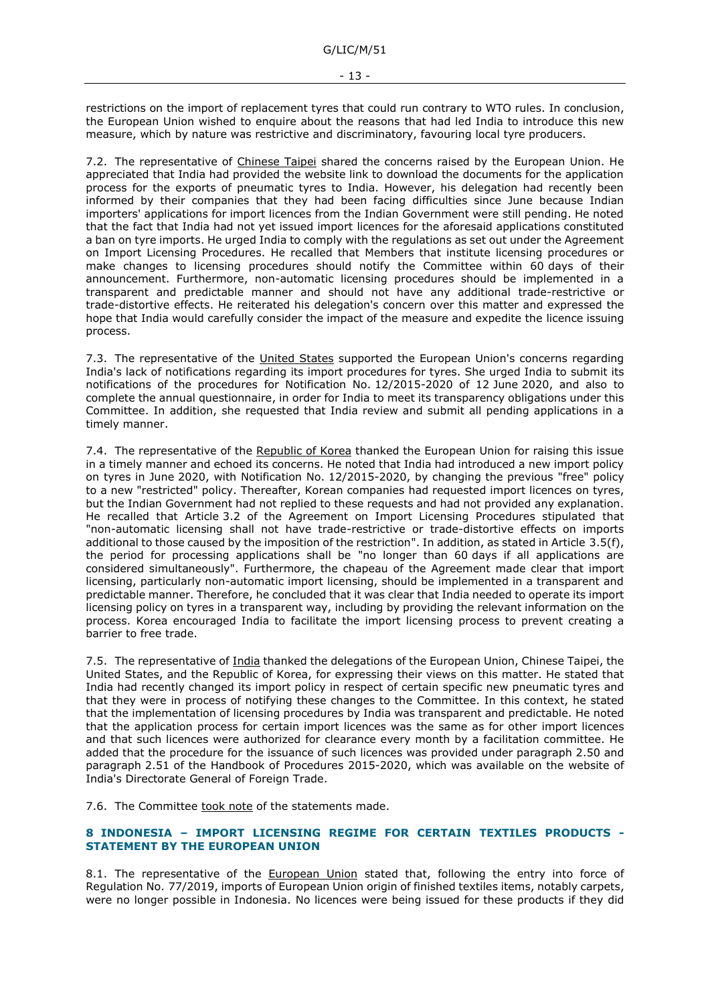restrictions on the import of replacement tyres that could run contrary to WTO rules. In conclusion, the European Union wished to enquire about the reasons that had led India to introduce this new measure, which by nature was restrictive and discriminatory, favouring local tyre producers.

7.2. The representative of Chinese Taipei shared the concerns raised by the European Union. He appreciated that India had provided the website link to download the documents for the application process for the exports of pneumatic tyres to India. However, his delegation had recently been informed by their companies that they had been facing difficulties since June because Indian importers' applications for import licences from the Indian Government were still pending. He noted that the fact that India had not yet issued import licences for the aforesaid applications constituted a ban on tyre imports. He urged India to comply with the regulations as set out under the Agreement on Import Licensing Procedures. He recalled that Members that institute licensing procedures or make changes to licensing procedures should notify the Committee within 60 days of their announcement. Furthermore, non-automatic licensing procedures should be implemented in a transparent and predictable manner and should not have any additional trade-restrictive or trade-distortive effects. He reiterated his delegation's concern over this matter and expressed the hope that India would carefully consider the impact of the measure and expedite the licence issuing process.

7.3. The representative of the United States supported the European Union's concerns regarding India's lack of notifications regarding its import procedures for tyres. She urged India to submit its notifications of the procedures for Notification No. 12/2015-2020 of 12 June 2020, and also to complete the annual questionnaire, in order for India to meet its transparency obligations under this Committee. In addition, she requested that India review and submit all pending applications in a timely manner.

7.4. The representative of the Republic of Korea thanked the European Union for raising this issue in a timely manner and echoed its concerns. He noted that India had introduced a new import policy on tyres in June 2020, with Notification No. 12/2015-2020, by changing the previous "free" policy to a new "restricted" policy. Thereafter, Korean companies had requested import licences on tyres, but the Indian Government had not replied to these requests and had not provided any explanation. He recalled that Article 3.2 of the Agreement on Import Licensing Procedures stipulated that "non-automatic licensing shall not have trade-restrictive or trade-distortive effects on imports additional to those caused by the imposition of the restriction". In addition, as stated in Article 3.5(f), the period for processing applications shall be "no longer than 60 days if all applications are considered simultaneously". Furthermore, the chapeau of the Agreement made clear that import licensing, particularly non-automatic import licensing, should be implemented in a transparent and predictable manner. Therefore, he concluded that it was clear that India needed to operate its import licensing policy on tyres in a transparent way, including by providing the relevant information on the process. Korea encouraged India to facilitate the import licensing process to prevent creating a barrier to free trade.

7.5. The representative of India thanked the delegations of the European Union, Chinese Taipei, the United States, and the Republic of Korea, for expressing their views on this matter. He stated that India had recently changed its import policy in respect of certain specific new pneumatic tyres and that they were in process of notifying these changes to the Committee. In this context, he stated that the implementation of licensing procedures by India was transparent and predictable. He noted that the application process for certain import licences was the same as for other import licences and that such licences were authorized for clearance every month by a facilitation committee. He added that the procedure for the issuance of such licences was provided under paragraph 2.50 and paragraph 2.51 of the Handbook of Procedures 2015-2020, which was available on the website of India's Directorate General of Foreign Trade.

7.6. The Committee took note of the statements made.

#### <span id="page-12-0"></span>**8 INDONESIA – IMPORT LICENSING REGIME FOR CERTAIN TEXTILES PRODUCTS - STATEMENT BY THE EUROPEAN UNION**

8.1. The representative of the European Union stated that, following the entry into force of Regulation No. 77/2019, imports of European Union origin of finished textiles items, notably carpets, were no longer possible in Indonesia. No licences were being issued for these products if they did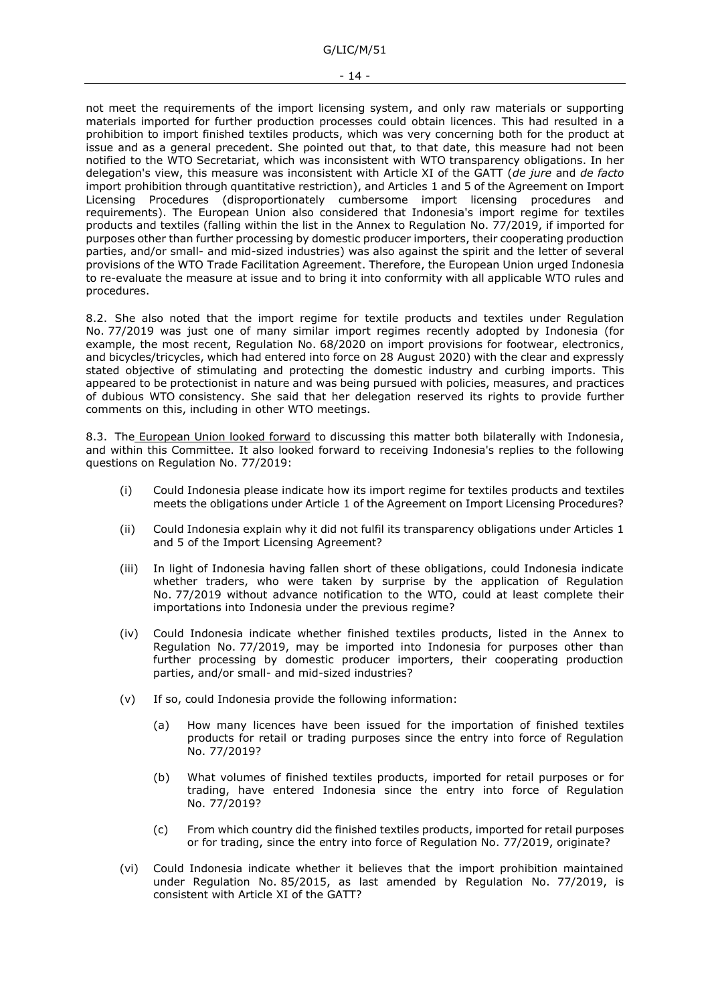not meet the requirements of the import licensing system, and only raw materials or supporting materials imported for further production processes could obtain licences. This had resulted in a prohibition to import finished textiles products, which was very concerning both for the product at issue and as a general precedent. She pointed out that, to that date, this measure had not been notified to the WTO Secretariat, which was inconsistent with WTO transparency obligations. In her delegation's view, this measure was inconsistent with Article XI of the GATT (*de jure* and *de facto*  import prohibition through quantitative restriction), and Articles 1 and 5 of the Agreement on Import Licensing Procedures (disproportionately cumbersome import licensing procedures and requirements). The European Union also considered that Indonesia's import regime for textiles products and textiles (falling within the list in the Annex to Regulation No. 77/2019, if imported for purposes other than further processing by domestic producer importers, their cooperating production parties, and/or small- and mid-sized industries) was also against the spirit and the letter of several provisions of the WTO Trade Facilitation Agreement. Therefore, the European Union urged Indonesia to re-evaluate the measure at issue and to bring it into conformity with all applicable WTO rules and procedures.

8.2. She also noted that the import regime for textile products and textiles under Regulation No. 77/2019 was just one of many similar import regimes recently adopted by Indonesia (for example, the most recent, Regulation No. 68/2020 on import provisions for footwear, electronics, and bicycles/tricycles, which had entered into force on 28 August 2020) with the clear and expressly stated objective of stimulating and protecting the domestic industry and curbing imports. This appeared to be protectionist in nature and was being pursued with policies, measures, and practices of dubious WTO consistency. She said that her delegation reserved its rights to provide further comments on this, including in other WTO meetings.

8.3. The European Union looked forward to discussing this matter both bilaterally with Indonesia, and within this Committee. It also looked forward to receiving Indonesia's replies to the following questions on Regulation No. 77/2019:

- (i) Could Indonesia please indicate how its import regime for textiles products and textiles meets the obligations under Article 1 of the Agreement on Import Licensing Procedures?
- (ii) Could Indonesia explain why it did not fulfil its transparency obligations under Articles 1 and 5 of the Import Licensing Agreement?
- (iii) In light of Indonesia having fallen short of these obligations, could Indonesia indicate whether traders, who were taken by surprise by the application of Regulation No. 77/2019 without advance notification to the WTO, could at least complete their importations into Indonesia under the previous regime?
- (iv) Could Indonesia indicate whether finished textiles products, listed in the Annex to Regulation No. 77/2019, may be imported into Indonesia for purposes other than further processing by domestic producer importers, their cooperating production parties, and/or small- and mid-sized industries?
- (v) If so, could Indonesia provide the following information:
	- (a) How many licences have been issued for the importation of finished textiles products for retail or trading purposes since the entry into force of Regulation No. 77/2019?
	- (b) What volumes of finished textiles products, imported for retail purposes or for trading, have entered Indonesia since the entry into force of Regulation No. 77/2019?
	- (c) From which country did the finished textiles products, imported for retail purposes or for trading, since the entry into force of Regulation No. 77/2019, originate?
- (vi) Could Indonesia indicate whether it believes that the import prohibition maintained under Regulation No. 85/2015, as last amended by Regulation No. 77/2019, is consistent with Article XI of the GATT?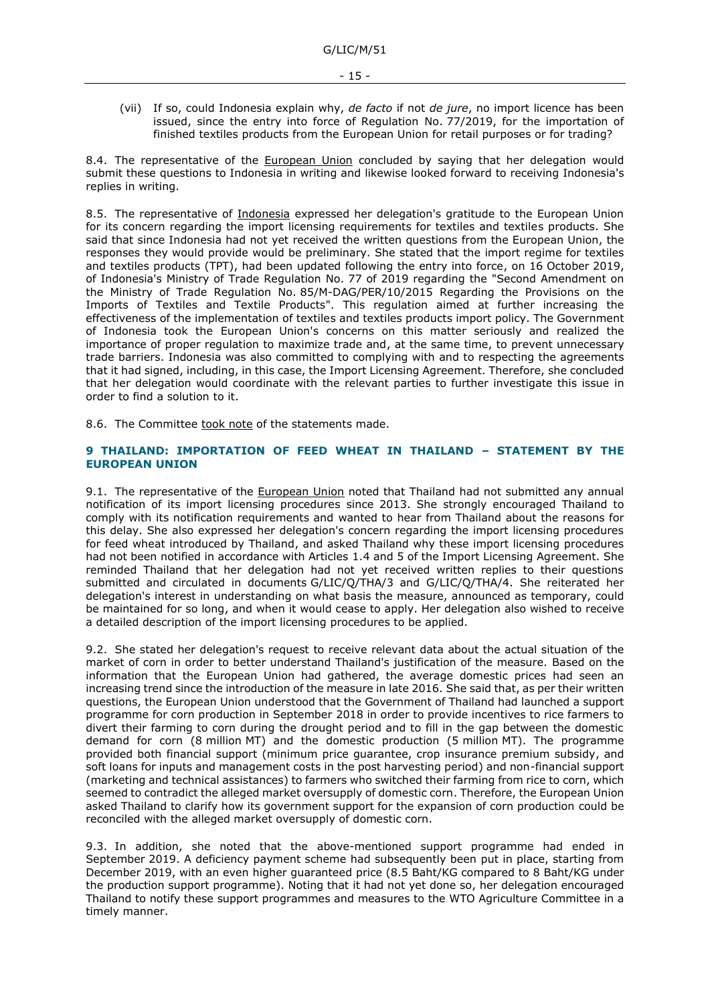(vii) If so, could Indonesia explain why, *de facto* if not *de jure*, no import licence has been issued, since the entry into force of Regulation No. 77/2019, for the importation of finished textiles products from the European Union for retail purposes or for trading?

8.4. The representative of the European Union concluded by saying that her delegation would submit these questions to Indonesia in writing and likewise looked forward to receiving Indonesia's replies in writing.

8.5. The representative of Indonesia expressed her delegation's gratitude to the European Union for its concern regarding the import licensing requirements for textiles and textiles products. She said that since Indonesia had not yet received the written questions from the European Union, the responses they would provide would be preliminary. She stated that the import regime for textiles and textiles products (TPT), had been updated following the entry into force, on 16 October 2019, of Indonesia's Ministry of Trade Regulation No. 77 of 2019 regarding the "Second Amendment on the Ministry of Trade Regulation No. 85/M-DAG/PER/10/2015 Regarding the Provisions on the Imports of Textiles and Textile Products". This regulation aimed at further increasing the effectiveness of the implementation of textiles and textiles products import policy. The Government of Indonesia took the European Union's concerns on this matter seriously and realized the importance of proper regulation to maximize trade and, at the same time, to prevent unnecessary trade barriers. Indonesia was also committed to complying with and to respecting the agreements that it had signed, including, in this case, the Import Licensing Agreement. Therefore, she concluded that her delegation would coordinate with the relevant parties to further investigate this issue in order to find a solution to it.

8.6. The Committee took note of the statements made.

#### <span id="page-14-0"></span>**9 THAILAND: IMPORTATION OF FEED WHEAT IN THAILAND – STATEMENT BY THE EUROPEAN UNION**

9.1. The representative of the European Union noted that Thailand had not submitted any annual notification of its import licensing procedures since 2013. She strongly encouraged Thailand to comply with its notification requirements and wanted to hear from Thailand about the reasons for this delay. She also expressed her delegation's concern regarding the import licensing procedures for feed wheat introduced by Thailand, and asked Thailand why these import licensing procedures had not been notified in accordance with Articles 1.4 and 5 of the Import Licensing Agreement. She reminded Thailand that her delegation had not yet received written replies to their questions submitted and circulated in documents G/LIC/Q/THA/3 and G/LIC/Q/THA/4. She reiterated her delegation's interest in understanding on what basis the measure, announced as temporary, could be maintained for so long, and when it would cease to apply. Her delegation also wished to receive a detailed description of the import licensing procedures to be applied.

9.2. She stated her delegation's request to receive relevant data about the actual situation of the market of corn in order to better understand Thailand's justification of the measure. Based on the information that the European Union had gathered, the average domestic prices had seen an increasing trend since the introduction of the measure in late 2016. She said that, as per their written questions, the European Union understood that the Government of Thailand had launched a support programme for corn production in September 2018 in order to provide incentives to rice farmers to divert their farming to corn during the drought period and to fill in the gap between the domestic demand for corn (8 million MT) and the domestic production (5 million MT). The programme provided both financial support (minimum price guarantee, crop insurance premium subsidy, and soft loans for inputs and management costs in the post harvesting period) and non-financial support (marketing and technical assistances) to farmers who switched their farming from rice to corn, which seemed to contradict the alleged market oversupply of domestic corn. Therefore, the European Union asked Thailand to clarify how its government support for the expansion of corn production could be reconciled with the alleged market oversupply of domestic corn.

9.3. In addition, she noted that the above-mentioned support programme had ended in September 2019. A deficiency payment scheme had subsequently been put in place, starting from December 2019, with an even higher guaranteed price (8.5 Baht/KG compared to 8 Baht/KG under the production support programme). Noting that it had not yet done so, her delegation encouraged Thailand to notify these support programmes and measures to the WTO Agriculture Committee in a timely manner.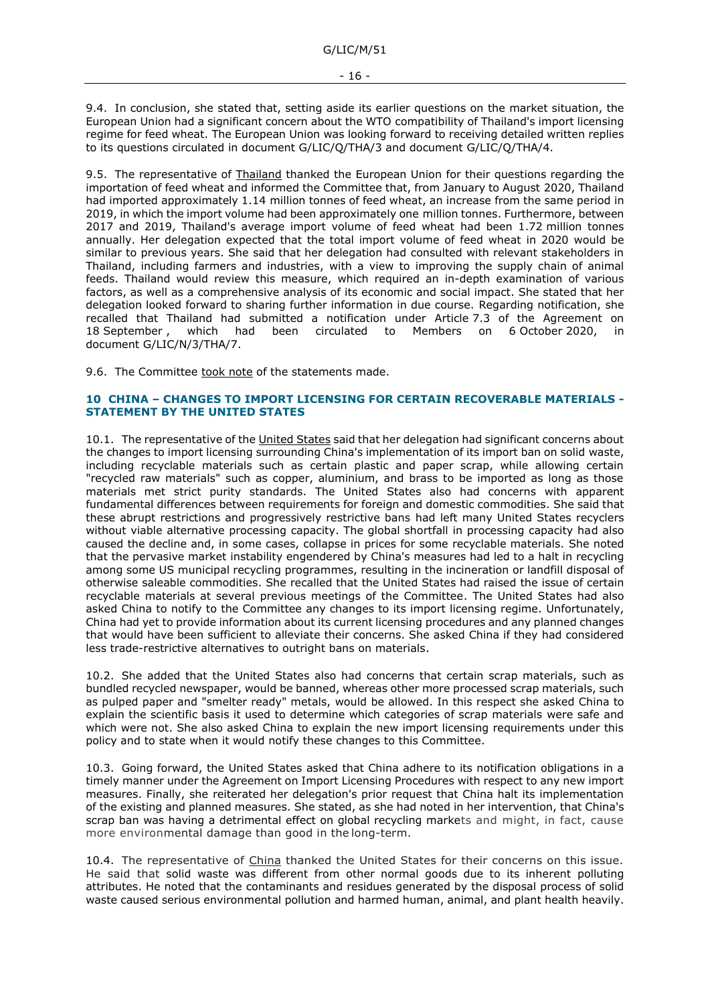9.4. In conclusion, she stated that, setting aside its earlier questions on the market situation, the European Union had a significant concern about the WTO compatibility of Thailand's import licensing regime for feed wheat. The European Union was looking forward to receiving detailed written replies to its questions circulated in document G/LIC/Q/THA/3 and document G/LIC/Q/THA/4.

9.5. The representative of Thailand thanked the European Union for their questions regarding the importation of feed wheat and informed the Committee that, from January to August 2020, Thailand had imported approximately 1.14 million tonnes of feed wheat, an increase from the same period in 2019, in which the import volume had been approximately one million tonnes. Furthermore, between 2017 and 2019, Thailand's average import volume of feed wheat had been 1.72 million tonnes annually. Her delegation expected that the total import volume of feed wheat in 2020 would be similar to previous years. She said that her delegation had consulted with relevant stakeholders in Thailand, including farmers and industries, with a view to improving the supply chain of animal feeds. Thailand would review this measure, which required an in-depth examination of various factors, as well as a comprehensive analysis of its economic and social impact. She stated that her delegation looked forward to sharing further information in due course. Regarding notification, she recalled that Thailand had submitted a notification under Article 7.3 of the Agreement on 18 September, which had been circulated to Members on 6 October 2020, document G/LIC/N/3/THA/7.

9.6. The Committee took note of the statements made.

#### <span id="page-15-0"></span>**10 CHINA – CHANGES TO IMPORT LICENSING FOR CERTAIN RECOVERABLE MATERIALS - STATEMENT BY THE UNITED STATES**

10.1. The representative of the United States said that her delegation had significant concerns about the changes to import licensing surrounding China's implementation of its import ban on solid waste, including recyclable materials such as certain plastic and paper scrap, while allowing certain "recycled raw materials" such as copper, aluminium, and brass to be imported as long as those materials met strict purity standards. The United States also had concerns with apparent fundamental differences between requirements for foreign and domestic commodities. She said that these abrupt restrictions and progressively restrictive bans had left many United States recyclers without viable alternative processing capacity. The global shortfall in processing capacity had also caused the decline and, in some cases, collapse in prices for some recyclable materials. She noted that the pervasive market instability engendered by China's measures had led to a halt in recycling among some US municipal recycling programmes, resulting in the incineration or landfill disposal of otherwise saleable commodities. She recalled that the United States had raised the issue of certain recyclable materials at several previous meetings of the Committee. The United States had also asked China to notify to the Committee any changes to its import licensing regime. Unfortunately, China had yet to provide information about its current licensing procedures and any planned changes that would have been sufficient to alleviate their concerns. She asked China if they had considered less trade-restrictive alternatives to outright bans on materials.

10.2. She added that the United States also had concerns that certain scrap materials, such as bundled recycled newspaper, would be banned, whereas other more processed scrap materials, such as pulped paper and "smelter ready" metals, would be allowed. In this respect she asked China to explain the scientific basis it used to determine which categories of scrap materials were safe and which were not. She also asked China to explain the new import licensing requirements under this policy and to state when it would notify these changes to this Committee.

10.3. Going forward, the United States asked that China adhere to its notification obligations in a timely manner under the Agreement on Import Licensing Procedures with respect to any new import measures. Finally, she reiterated her delegation's prior request that China halt its implementation of the existing and planned measures. She stated, as she had noted in her intervention, that China's scrap ban was having a detrimental effect on global recycling markets and might, in fact, cause more environmental damage than good in the long-term.

10.4. The representative of China thanked the United States for their concerns on this issue. He said that solid waste was different from other normal goods due to its inherent polluting attributes. He noted that the contaminants and residues generated by the disposal process of solid waste caused serious environmental pollution and harmed human, animal, and plant health heavily.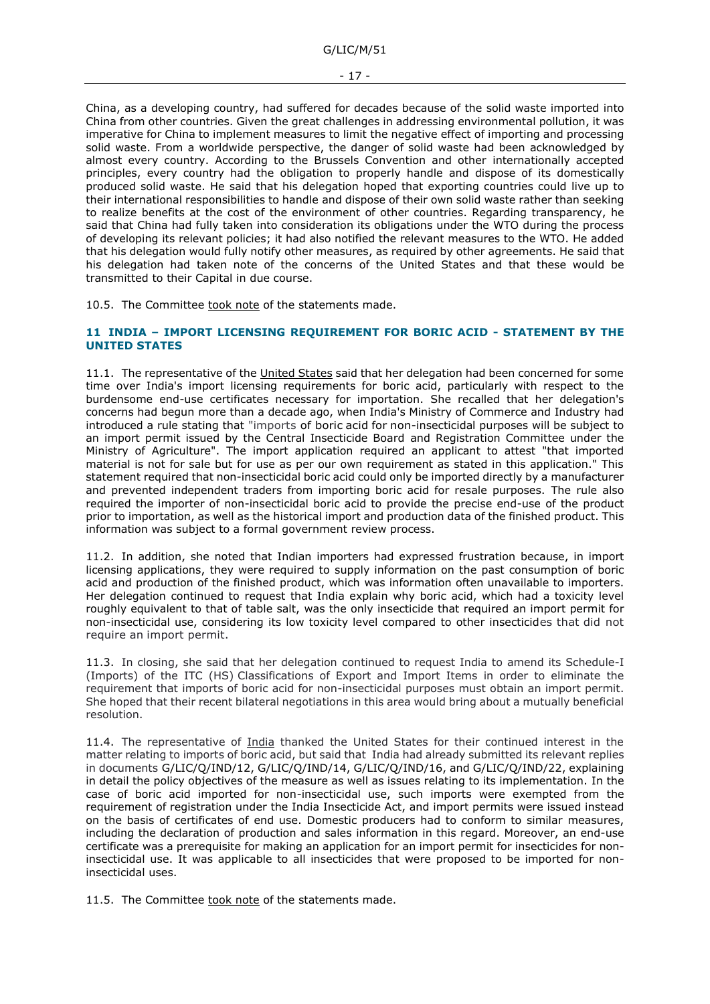China, as a developing country, had suffered for decades because of the solid waste imported into China from other countries. Given the great challenges in addressing environmental pollution, it was imperative for China to implement measures to limit the negative effect of importing and processing solid waste. From a worldwide perspective, the danger of solid waste had been acknowledged by almost every country. According to the Brussels Convention and other internationally accepted principles, every country had the obligation to properly handle and dispose of its domestically produced solid waste. He said that his delegation hoped that exporting countries could live up to their international responsibilities to handle and dispose of their own solid waste rather than seeking to realize benefits at the cost of the environment of other countries. Regarding transparency, he said that China had fully taken into consideration its obligations under the WTO during the process of developing its relevant policies; it had also notified the relevant measures to the WTO. He added that his delegation would fully notify other measures, as required by other agreements. He said that his delegation had taken note of the concerns of the United States and that these would be transmitted to their Capital in due course.

10.5. The Committee took note of the statements made.

### <span id="page-16-0"></span>**11 INDIA – IMPORT LICENSING REQUIREMENT FOR BORIC ACID - STATEMENT BY THE UNITED STATES**

11.1. The representative of the United States said that her delegation had been concerned for some time over India's import licensing requirements for boric acid, particularly with respect to the burdensome end-use certificates necessary for importation. She recalled that her delegation's concerns had begun more than a decade ago, when India's Ministry of Commerce and Industry had introduced a rule stating that "imports of boric acid for non-insecticidal purposes will be subject to an import permit issued by the Central Insecticide Board and Registration Committee under the Ministry of Agriculture". The import application required an applicant to attest "that imported material is not for sale but for use as per our own requirement as stated in this application." This statement required that non-insecticidal boric acid could only be imported directly by a manufacturer and prevented independent traders from importing boric acid for resale purposes. The rule also required the importer of non-insecticidal boric acid to provide the precise end-use of the product prior to importation, as well as the historical import and production data of the finished product. This information was subject to a formal government review process.

11.2. In addition, she noted that Indian importers had expressed frustration because, in import licensing applications, they were required to supply information on the past consumption of boric acid and production of the finished product, which was information often unavailable to importers. Her delegation continued to request that India explain why boric acid, which had a toxicity level roughly equivalent to that of table salt, was the only insecticide that required an import permit for non-insecticidal use, considering its low toxicity level compared to other insecticides that did not require an import permit.

11.3. In closing, she said that her delegation continued to request India to amend its Schedule-I (Imports) of the ITC (HS) Classifications of Export and Import Items in order to eliminate the requirement that imports of boric acid for non-insecticidal purposes must obtain an import permit. She hoped that their recent bilateral negotiations in this area would bring about a mutually beneficial resolution.

11.4. The representative of India thanked the United States for their continued interest in the matter relating to imports of boric acid, but said that India had already submitted its relevant replies in documents G/LIC/Q/IND/12, G/LIC/Q/IND/14, G/LIC/Q/IND/16, and G/LIC/Q/IND/22, explaining in detail the policy objectives of the measure as well as issues relating to its implementation. In the case of boric acid imported for non-insecticidal use, such imports were exempted from the requirement of registration under the India Insecticide Act, and import permits were issued instead on the basis of certificates of end use. Domestic producers had to conform to similar measures, including the declaration of production and sales information in this regard. Moreover, an end-use certificate was a prerequisite for making an application for an import permit for insecticides for noninsecticidal use. It was applicable to all insecticides that were proposed to be imported for noninsecticidal uses.

11.5. The Committee took note of the statements made.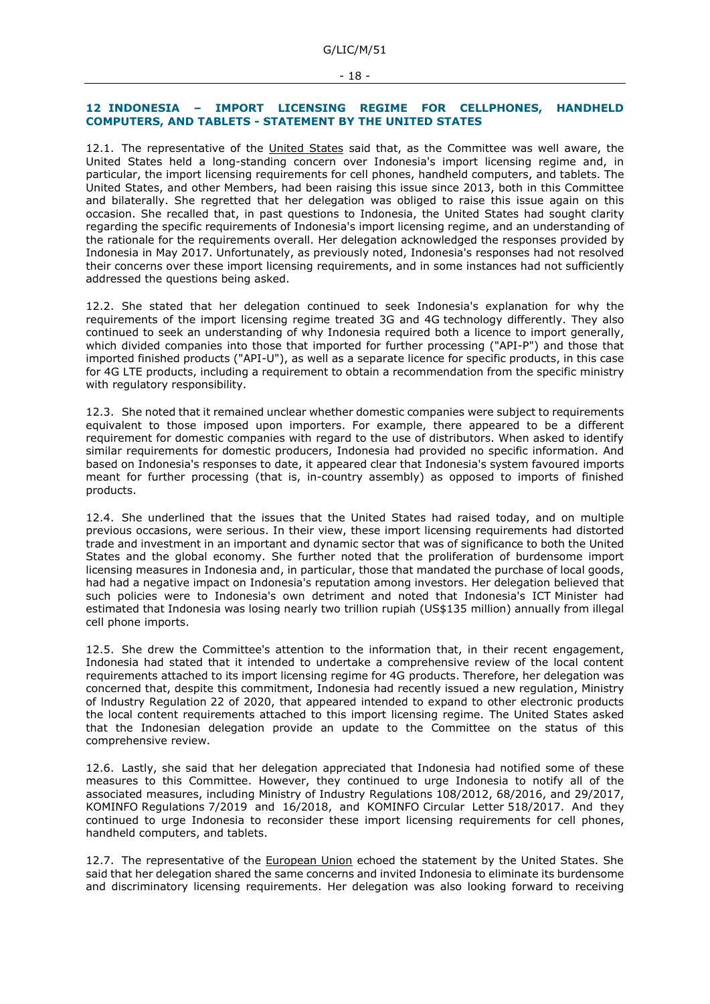#### <span id="page-17-0"></span>**12 INDONESIA – IMPORT LICENSING REGIME FOR CELLPHONES, HANDHELD COMPUTERS, AND TABLETS - STATEMENT BY THE UNITED STATES**

12.1. The representative of the United States said that, as the Committee was well aware, the United States held a long-standing concern over Indonesia's import licensing regime and, in particular, the import licensing requirements for cell phones, handheld computers, and tablets. The United States, and other Members, had been raising this issue since 2013, both in this Committee and bilaterally. She regretted that her delegation was obliged to raise this issue again on this occasion. She recalled that, in past questions to Indonesia, the United States had sought clarity regarding the specific requirements of Indonesia's import licensing regime, and an understanding of the rationale for the requirements overall. Her delegation acknowledged the responses provided by Indonesia in May 2017. Unfortunately, as previously noted, Indonesia's responses had not resolved their concerns over these import licensing requirements, and in some instances had not sufficiently addressed the questions being asked.

12.2. She stated that her delegation continued to seek Indonesia's explanation for why the requirements of the import licensing regime treated 3G and 4G technology differently. They also continued to seek an understanding of why Indonesia required both a licence to import generally, which divided companies into those that imported for further processing ("API-P") and those that imported finished products ("API-U"), as well as a separate licence for specific products, in this case for 4G LTE products, including a requirement to obtain a recommendation from the specific ministry with regulatory responsibility.

12.3. She noted that it remained unclear whether domestic companies were subject to requirements equivalent to those imposed upon importers. For example, there appeared to be a different requirement for domestic companies with regard to the use of distributors. When asked to identify similar requirements for domestic producers, Indonesia had provided no specific information. And based on Indonesia's responses to date, it appeared clear that Indonesia's system favoured imports meant for further processing (that is, in-country assembly) as opposed to imports of finished products.

12.4. She underlined that the issues that the United States had raised today, and on multiple previous occasions, were serious. In their view, these import licensing requirements had distorted trade and investment in an important and dynamic sector that was of significance to both the United States and the global economy. She further noted that the proliferation of burdensome import licensing measures in Indonesia and, in particular, those that mandated the purchase of local goods, had had a negative impact on Indonesia's reputation among investors. Her delegation believed that such policies were to Indonesia's own detriment and noted that Indonesia's ICT Minister had estimated that Indonesia was losing nearly two trillion rupiah (US\$135 million) annually from illegal cell phone imports.

12.5. She drew the Committee's attention to the information that, in their recent engagement, Indonesia had stated that it intended to undertake a comprehensive review of the local content requirements attached to its import licensing regime for 4G products. Therefore, her delegation was concerned that, despite this commitment, Indonesia had recently issued a new regulation, Ministry of lndustry Regulation 22 of 2020, that appeared intended to expand to other electronic products the local content requirements attached to this import licensing regime. The United States asked that the Indonesian delegation provide an update to the Committee on the status of this comprehensive review.

12.6. Lastly, she said that her delegation appreciated that Indonesia had notified some of these measures to this Committee. However, they continued to urge Indonesia to notify all of the associated measures, including Ministry of Industry Regulations 108/2012, 68/2016, and 29/2017, KOMINFO Regulations 7/2019 and 16/2018, and KOMINFO Circular Letter 518/2017. And they continued to urge Indonesia to reconsider these import licensing requirements for cell phones, handheld computers, and tablets.

12.7. The representative of the European Union echoed the statement by the United States. She said that her delegation shared the same concerns and invited Indonesia to eliminate its burdensome and discriminatory licensing requirements. Her delegation was also looking forward to receiving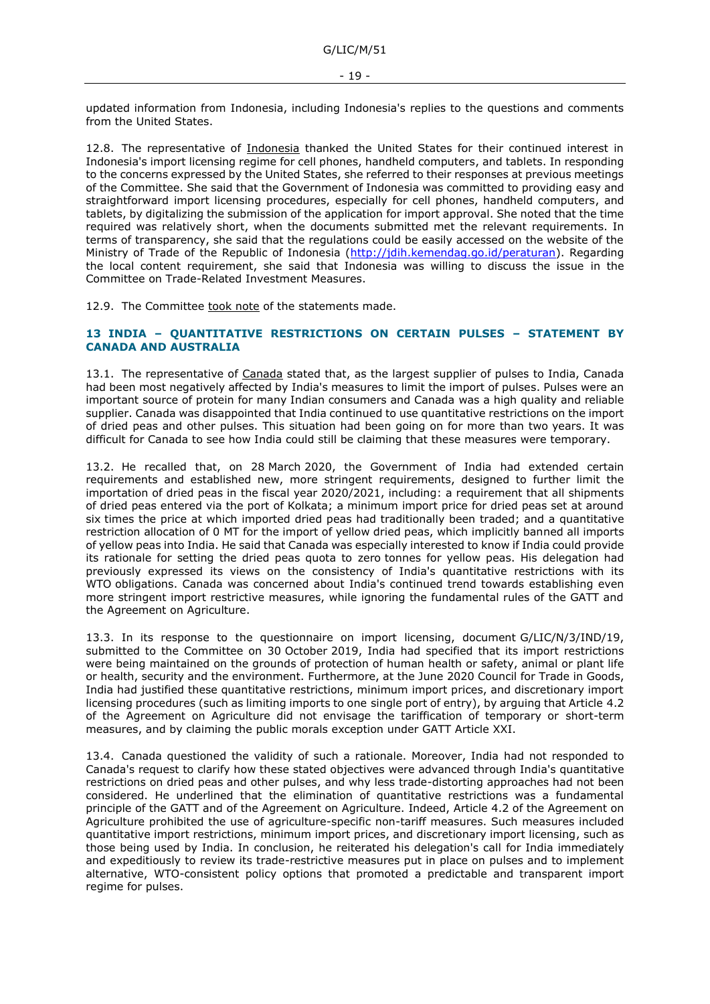updated information from Indonesia, including Indonesia's replies to the questions and comments from the United States.

12.8. The representative of Indonesia thanked the United States for their continued interest in Indonesia's import licensing regime for cell phones, handheld computers, and tablets. In responding to the concerns expressed by the United States, she referred to their responses at previous meetings of the Committee. She said that the Government of Indonesia was committed to providing easy and straightforward import licensing procedures, especially for cell phones, handheld computers, and tablets, by digitalizing the submission of the application for import approval. She noted that the time required was relatively short, when the documents submitted met the relevant requirements. In terms of transparency, she said that the regulations could be easily accessed on the website of the Ministry of Trade of the Republic of Indonesia [\(http://jdih.kemendag.go.id/peraturan\)](http://jdih.kemendag.go.id/peraturan). Regarding the local content requirement, she said that Indonesia was willing to discuss the issue in the Committee on Trade-Related Investment Measures.

12.9. The Committee took note of the statements made.

### <span id="page-18-0"></span>**13 INDIA – QUANTITATIVE RESTRICTIONS ON CERTAIN PULSES – STATEMENT BY CANADA AND AUSTRALIA**

13.1. The representative of Canada stated that, as the largest supplier of pulses to India, Canada had been most negatively affected by India's measures to limit the import of pulses. Pulses were an important source of protein for many Indian consumers and Canada was a high quality and reliable supplier. Canada was disappointed that India continued to use quantitative restrictions on the import of dried peas and other pulses. This situation had been going on for more than two years. It was difficult for Canada to see how India could still be claiming that these measures were temporary.

13.2. He recalled that, on 28 March 2020, the Government of India had extended certain requirements and established new, more stringent requirements, designed to further limit the importation of dried peas in the fiscal year 2020/2021, including: a requirement that all shipments of dried peas entered via the port of Kolkata; a minimum import price for dried peas set at around six times the price at which imported dried peas had traditionally been traded; and a quantitative restriction allocation of 0 MT for the import of yellow dried peas, which implicitly banned all imports of yellow peas into India. He said that Canada was especially interested to know if India could provide its rationale for setting the dried peas quota to zero tonnes for yellow peas. His delegation had previously expressed its views on the consistency of India's quantitative restrictions with its WTO obligations. Canada was concerned about India's continued trend towards establishing even more stringent import restrictive measures, while ignoring the fundamental rules of the GATT and the Agreement on Agriculture.

13.3. In its response to the questionnaire on import licensing, document G/LIC/N/3/IND/19, submitted to the Committee on 30 October 2019, India had specified that its import restrictions were being maintained on the grounds of protection of human health or safety, animal or plant life or health, security and the environment. Furthermore, at the June 2020 Council for Trade in Goods, India had justified these quantitative restrictions, minimum import prices, and discretionary import licensing procedures (such as limiting imports to one single port of entry), by arguing that Article 4.2 of the Agreement on Agriculture did not envisage the tariffication of temporary or short-term measures, and by claiming the public morals exception under GATT Article XXI.

13.4. Canada questioned the validity of such a rationale. Moreover, India had not responded to Canada's request to clarify how these stated objectives were advanced through India's quantitative restrictions on dried peas and other pulses, and why less trade-distorting approaches had not been considered. He underlined that the elimination of quantitative restrictions was a fundamental principle of the GATT and of the Agreement on Agriculture. Indeed, Article 4.2 of the Agreement on Agriculture prohibited the use of agriculture-specific non-tariff measures. Such measures included quantitative import restrictions, minimum import prices, and discretionary import licensing, such as those being used by India. In conclusion, he reiterated his delegation's call for India immediately and expeditiously to review its trade-restrictive measures put in place on pulses and to implement alternative, WTO-consistent policy options that promoted a predictable and transparent import regime for pulses.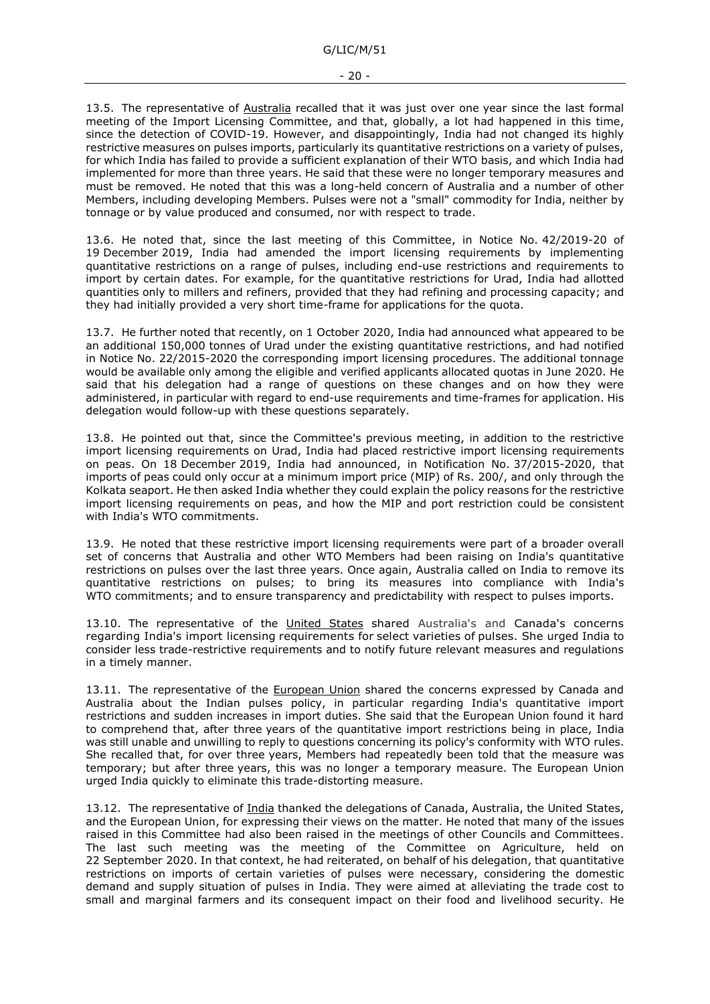13.5. The representative of Australia recalled that it was just over one year since the last formal meeting of the Import Licensing Committee, and that, globally, a lot had happened in this time, since the detection of COVID-19. However, and disappointingly, India had not changed its highly restrictive measures on pulses imports, particularly its quantitative restrictions on a variety of pulses, for which India has failed to provide a sufficient explanation of their WTO basis, and which India had implemented for more than three years. He said that these were no longer temporary measures and must be removed. He noted that this was a long-held concern of Australia and a number of other Members, including developing Members. Pulses were not a "small" commodity for India, neither by tonnage or by value produced and consumed, nor with respect to trade.

13.6. He noted that, since the last meeting of this Committee, in Notice No. 42/2019-20 of 19 December 2019, India had amended the import licensing requirements by implementing quantitative restrictions on a range of pulses, including end-use restrictions and requirements to import by certain dates. For example, for the quantitative restrictions for Urad, India had allotted quantities only to millers and refiners, provided that they had refining and processing capacity; and they had initially provided a very short time-frame for applications for the quota.

13.7. He further noted that recently, on 1 October 2020, India had announced what appeared to be an additional 150,000 tonnes of Urad under the existing quantitative restrictions, and had notified in Notice No. 22/2015-2020 the corresponding import licensing procedures. The additional tonnage would be available only among the eligible and verified applicants allocated quotas in June 2020. He said that his delegation had a range of questions on these changes and on how they were administered, in particular with regard to end-use requirements and time-frames for application. His delegation would follow-up with these questions separately.

13.8. He pointed out that, since the Committee's previous meeting, in addition to the restrictive import licensing requirements on Urad, India had placed restrictive import licensing requirements on peas. On 18 December 2019, India had announced, in Notification No. 37/2015-2020, that imports of peas could only occur at a minimum import price (MIP) of Rs. 200/, and only through the Kolkata seaport. He then asked India whether they could explain the policy reasons for the restrictive import licensing requirements on peas, and how the MIP and port restriction could be consistent with India's WTO commitments.

13.9. He noted that these restrictive import licensing requirements were part of a broader overall set of concerns that Australia and other WTO Members had been raising on India's quantitative restrictions on pulses over the last three years. Once again, Australia called on India to remove its quantitative restrictions on pulses; to bring its measures into compliance with India's WTO commitments; and to ensure transparency and predictability with respect to pulses imports.

13.10. The representative of the United States shared Australia's and Canada's concerns regarding India's import licensing requirements for select varieties of pulses. She urged India to consider less trade-restrictive requirements and to notify future relevant measures and regulations in a timely manner.

13.11. The representative of the European Union shared the concerns expressed by Canada and Australia about the Indian pulses policy, in particular regarding India's quantitative import restrictions and sudden increases in import duties. She said that the European Union found it hard to comprehend that, after three years of the quantitative import restrictions being in place, India was still unable and unwilling to reply to questions concerning its policy's conformity with WTO rules. She recalled that, for over three years, Members had repeatedly been told that the measure was temporary; but after three years, this was no longer a temporary measure. The European Union urged India quickly to eliminate this trade-distorting measure.

13.12. The representative of India thanked the delegations of Canada, Australia, the United States, and the European Union, for expressing their views on the matter. He noted that many of the issues raised in this Committee had also been raised in the meetings of other Councils and Committees. The last such meeting was the meeting of the Committee on Agriculture, held on 22 September 2020. In that context, he had reiterated, on behalf of his delegation, that quantitative restrictions on imports of certain varieties of pulses were necessary, considering the domestic demand and supply situation of pulses in India. They were aimed at alleviating the trade cost to small and marginal farmers and its consequent impact on their food and livelihood security. He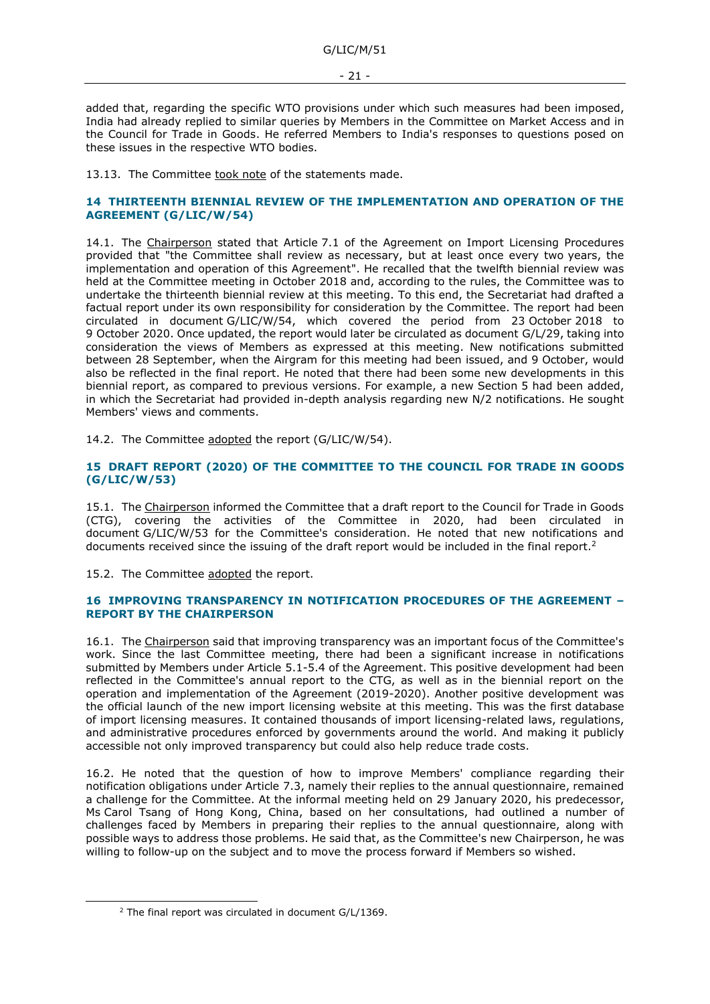added that, regarding the specific WTO provisions under which such measures had been imposed, India had already replied to similar queries by Members in the Committee on Market Access and in the Council for Trade in Goods. He referred Members to India's responses to questions posed on these issues in the respective WTO bodies.

13.13. The Committee took note of the statements made.

### <span id="page-20-0"></span>**14 THIRTEENTH BIENNIAL REVIEW OF THE IMPLEMENTATION AND OPERATION OF THE AGREEMENT (G/LIC/W/54)**

14.1. The Chairperson stated that Article 7.1 of the Agreement on Import Licensing Procedures provided that "the Committee shall review as necessary, but at least once every two years, the implementation and operation of this Agreement". He recalled that the twelfth biennial review was held at the Committee meeting in October 2018 and, according to the rules, the Committee was to undertake the thirteenth biennial review at this meeting. To this end, the Secretariat had drafted a factual report under its own responsibility for consideration by the Committee. The report had been circulated in document G/LIC/W/54, which covered the period from 23 October 2018 to 9 October 2020. Once updated, the report would later be circulated as document G/L/29, taking into consideration the views of Members as expressed at this meeting. New notifications submitted between 28 September, when the Airgram for this meeting had been issued, and 9 October, would also be reflected in the final report. He noted that there had been some new developments in this biennial report, as compared to previous versions. For example, a new Section 5 had been added, in which the Secretariat had provided in-depth analysis regarding new N/2 notifications. He sought Members' views and comments.

14.2. The Committee adopted the report (G/LIC/W/54).

### <span id="page-20-1"></span>**15 DRAFT REPORT (2020) OF THE COMMITTEE TO THE COUNCIL FOR TRADE IN GOODS (G/LIC/W/53)**

15.1. The Chairperson informed the Committee that a draft report to the Council for Trade in Goods (CTG), covering the activities of the Committee in 2020, had been circulated in document G/LIC/W/53 for the Committee's consideration. He noted that new notifications and documents received since the issuing of the draft report would be included in the final report.<sup>2</sup>

15.2. The Committee adopted the report.

#### <span id="page-20-2"></span>**16 IMPROVING TRANSPARENCY IN NOTIFICATION PROCEDURES OF THE AGREEMENT – REPORT BY THE CHAIRPERSON**

16.1. The Chairperson said that improving transparency was an important focus of the Committee's work. Since the last Committee meeting, there had been a significant increase in notifications submitted by Members under Article 5.1-5.4 of the Agreement. This positive development had been reflected in the Committee's annual report to the CTG, as well as in the biennial report on the operation and implementation of the Agreement (2019-2020). Another positive development was the official launch of the new import licensing website at this meeting. This was the first database of import licensing measures. It contained thousands of import licensing-related laws, regulations, and administrative procedures enforced by governments around the world. And making it publicly accessible not only improved transparency but could also help reduce trade costs.

16.2. He noted that the question of how to improve Members' compliance regarding their notification obligations under Article 7.3, namely their replies to the annual questionnaire, remained a challenge for the Committee. At the informal meeting held on 29 January 2020, his predecessor, Ms Carol Tsang of Hong Kong, China, based on her consultations, had outlined a number of challenges faced by Members in preparing their replies to the annual questionnaire, along with possible ways to address those problems. He said that, as the Committee's new Chairperson, he was willing to follow-up on the subject and to move the process forward if Members so wished.

<sup>&</sup>lt;sup>2</sup> The final report was circulated in document G/L/1369.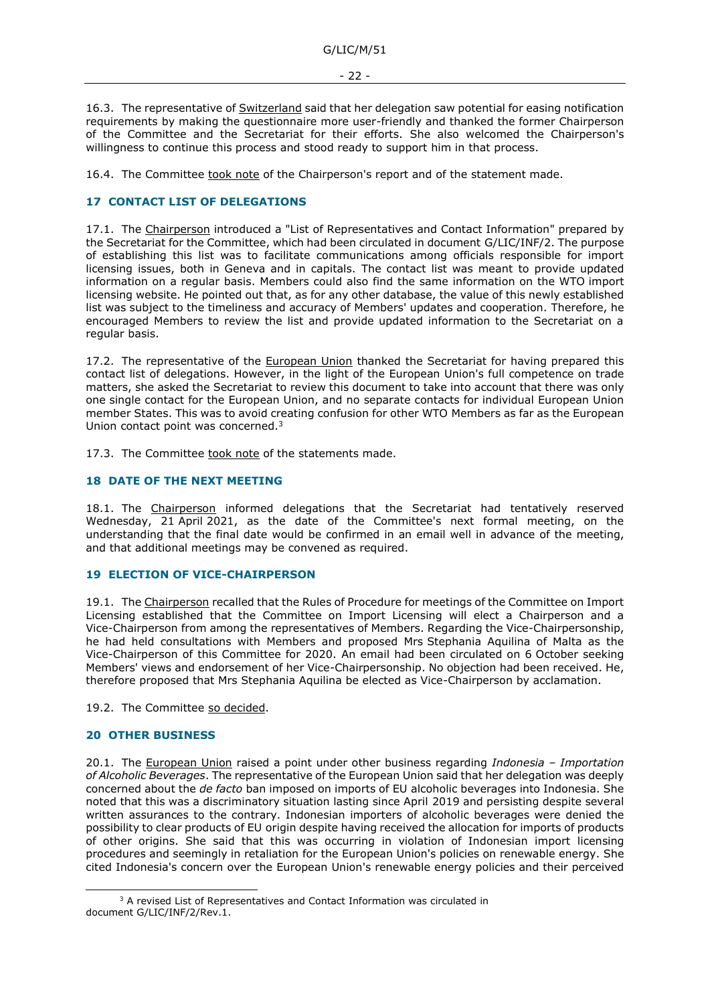16.3. The representative of Switzerland said that her delegation saw potential for easing notification requirements by making the questionnaire more user-friendly and thanked the former Chairperson of the Committee and the Secretariat for their efforts. She also welcomed the Chairperson's willingness to continue this process and stood ready to support him in that process.

16.4. The Committee took note of the Chairperson's report and of the statement made.

## <span id="page-21-0"></span>**17 CONTACT LIST OF DELEGATIONS**

17.1. The Chairperson introduced a "List of Representatives and Contact Information" prepared by the Secretariat for the Committee, which had been circulated in document G/LIC/INF/2. The purpose of establishing this list was to facilitate communications among officials responsible for import licensing issues, both in Geneva and in capitals. The contact list was meant to provide updated information on a regular basis. Members could also find the same information on the WTO import licensing website. He pointed out that, as for any other database, the value of this newly established list was subject to the timeliness and accuracy of Members' updates and cooperation. Therefore, he encouraged Members to review the list and provide updated information to the Secretariat on a regular basis.

17.2. The representative of the European Union thanked the Secretariat for having prepared this contact list of delegations. However, in the light of the European Union's full competence on trade matters, she asked the Secretariat to review this document to take into account that there was only one single contact for the European Union, and no separate contacts for individual European Union member States. This was to avoid creating confusion for other WTO Members as far as the European Union contact point was concerned.<sup>3</sup>

17.3. The Committee took note of the statements made.

#### <span id="page-21-1"></span>**18 DATE OF THE NEXT MEETING**

18.1. The Chairperson informed delegations that the Secretariat had tentatively reserved Wednesday, 21 April 2021, as the date of the Committee's next formal meeting, on the understanding that the final date would be confirmed in an email well in advance of the meeting, and that additional meetings may be convened as required.

#### <span id="page-21-2"></span>**19 ELECTION OF VICE-CHAIRPERSON**

19.1. The Chairperson recalled that the Rules of Procedure for meetings of the Committee on Import Licensing established that the Committee on Import Licensing will elect a Chairperson and a Vice-Chairperson from among the representatives of Members. Regarding the Vice-Chairpersonship, he had held consultations with Members and proposed Mrs Stephania Aquilina of Malta as the Vice-Chairperson of this Committee for 2020. An email had been circulated on 6 October seeking Members' views and endorsement of her Vice-Chairpersonship. No objection had been received. He, therefore proposed that Mrs Stephania Aquilina be elected as Vice-Chairperson by acclamation.

19.2. The Committee so decided.

#### <span id="page-21-3"></span>**20 OTHER BUSINESS**

20.1. The European Union raised a point under other business regarding *Indonesia – Importation of Alcoholic Beverages*. The representative of the European Union said that her delegation was deeply concerned about the *de facto* ban imposed on imports of EU alcoholic beverages into Indonesia. She noted that this was a discriminatory situation lasting since April 2019 and persisting despite several written assurances to the contrary. Indonesian importers of alcoholic beverages were denied the possibility to clear products of EU origin despite having received the allocation for imports of products of other origins. She said that this was occurring in violation of Indonesian import licensing procedures and seemingly in retaliation for the European Union's policies on renewable energy. She cited Indonesia's concern over the European Union's renewable energy policies and their perceived

<sup>&</sup>lt;sup>3</sup> A revised List of Representatives and Contact Information was circulated in document G/LIC/INF/2/Rev.1.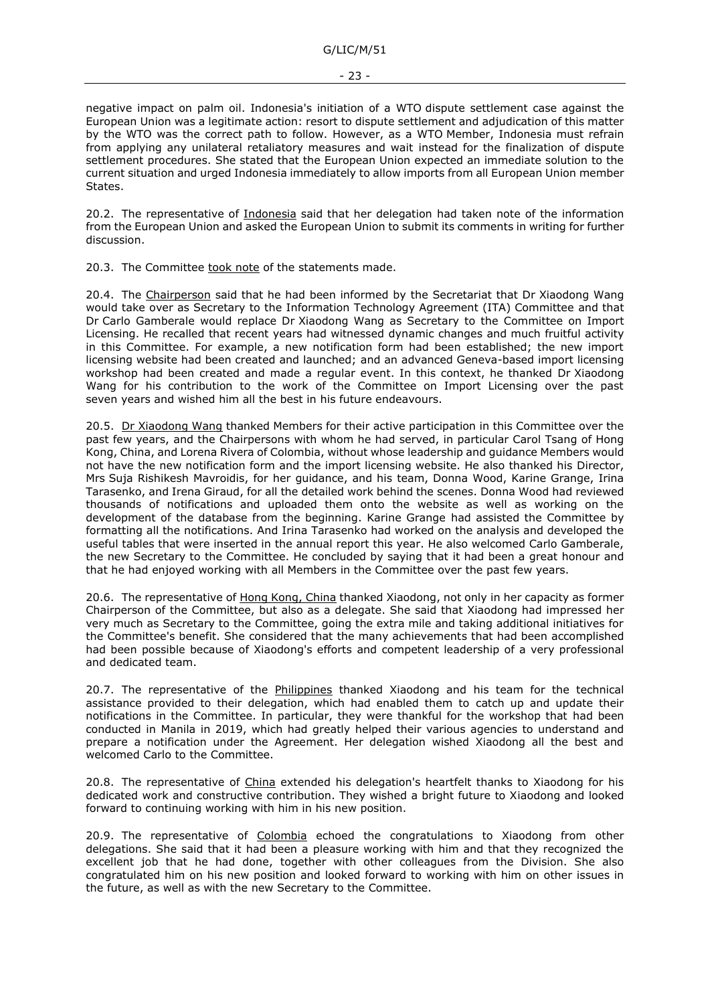G/LIC/M/51

negative impact on palm oil. Indonesia's initiation of a WTO dispute settlement case against the European Union was a legitimate action: resort to dispute settlement and adjudication of this matter by the WTO was the correct path to follow. However, as a WTO Member, Indonesia must refrain from applying any unilateral retaliatory measures and wait instead for the finalization of dispute settlement procedures. She stated that the European Union expected an immediate solution to the current situation and urged Indonesia immediately to allow imports from all European Union member States.

20.2. The representative of Indonesia said that her delegation had taken note of the information from the European Union and asked the European Union to submit its comments in writing for further discussion.

20.3. The Committee took note of the statements made.

20.4. The Chairperson said that he had been informed by the Secretariat that Dr Xiaodong Wang would take over as Secretary to the Information Technology Agreement (ITA) Committee and that Dr Carlo Gamberale would replace Dr Xiaodong Wang as Secretary to the Committee on Import Licensing. He recalled that recent years had witnessed dynamic changes and much fruitful activity in this Committee. For example, a new notification form had been established; the new import licensing website had been created and launched; and an advanced Geneva-based import licensing workshop had been created and made a regular event. In this context, he thanked Dr Xiaodong Wang for his contribution to the work of the Committee on Import Licensing over the past seven years and wished him all the best in his future endeavours.

20.5. Dr Xiaodong Wang thanked Members for their active participation in this Committee over the past few years, and the Chairpersons with whom he had served, in particular Carol Tsang of Hong Kong, China, and Lorena Rivera of Colombia, without whose leadership and guidance Members would not have the new notification form and the import licensing website. He also thanked his Director, Mrs Suja Rishikesh Mavroidis, for her guidance, and his team, Donna Wood, Karine Grange, Irina Tarasenko, and Irena Giraud, for all the detailed work behind the scenes. Donna Wood had reviewed thousands of notifications and uploaded them onto the website as well as working on the development of the database from the beginning. Karine Grange had assisted the Committee by formatting all the notifications. And Irina Tarasenko had worked on the analysis and developed the useful tables that were inserted in the annual report this year. He also welcomed Carlo Gamberale, the new Secretary to the Committee. He concluded by saying that it had been a great honour and that he had enjoyed working with all Members in the Committee over the past few years.

20.6. The representative of Hong Kong, China thanked Xiaodong, not only in her capacity as former Chairperson of the Committee, but also as a delegate. She said that Xiaodong had impressed her very much as Secretary to the Committee, going the extra mile and taking additional initiatives for the Committee's benefit. She considered that the many achievements that had been accomplished had been possible because of Xiaodong's efforts and competent leadership of a very professional and dedicated team.

20.7. The representative of the Philippines thanked Xiaodong and his team for the technical assistance provided to their delegation, which had enabled them to catch up and update their notifications in the Committee. In particular, they were thankful for the workshop that had been conducted in Manila in 2019, which had greatly helped their various agencies to understand and prepare a notification under the Agreement. Her delegation wished Xiaodong all the best and welcomed Carlo to the Committee.

20.8. The representative of China extended his delegation's heartfelt thanks to Xiaodong for his dedicated work and constructive contribution. They wished a bright future to Xiaodong and looked forward to continuing working with him in his new position.

20.9. The representative of Colombia echoed the congratulations to Xiaodong from other delegations. She said that it had been a pleasure working with him and that they recognized the excellent job that he had done, together with other colleagues from the Division. She also congratulated him on his new position and looked forward to working with him on other issues in the future, as well as with the new Secretary to the Committee.